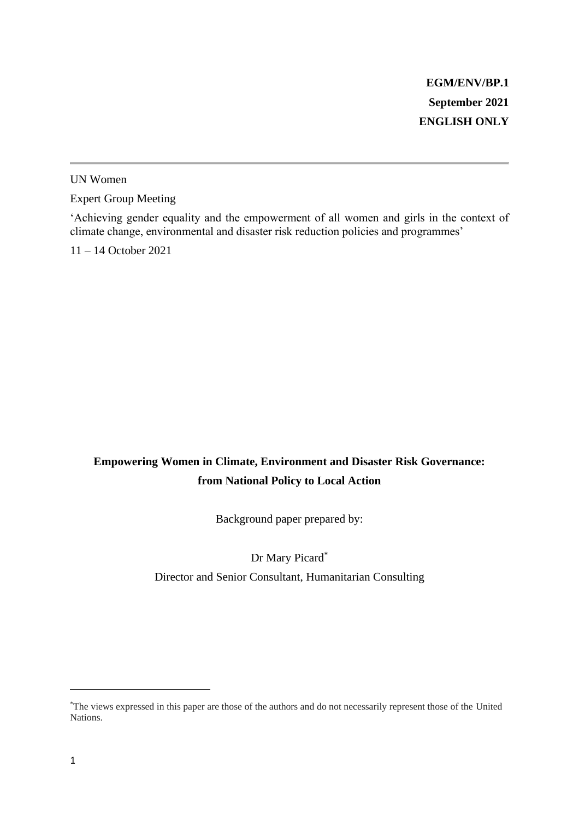UN Women

Expert Group Meeting

'Achieving gender equality and the empowerment of all women and girls in the context of climate change, environmental and disaster risk reduction policies and programmes'

11 – 14 October 2021

# **Empowering Women in Climate, Environment and Disaster Risk Governance: from National Policy to Local Action**

Background paper prepared by:

Dr Mary Picard\*

Director and Senior Consultant, Humanitarian Consulting

<sup>\*</sup>The views expressed in this paper are those of the authors and do not necessarily represent those of the United Nations.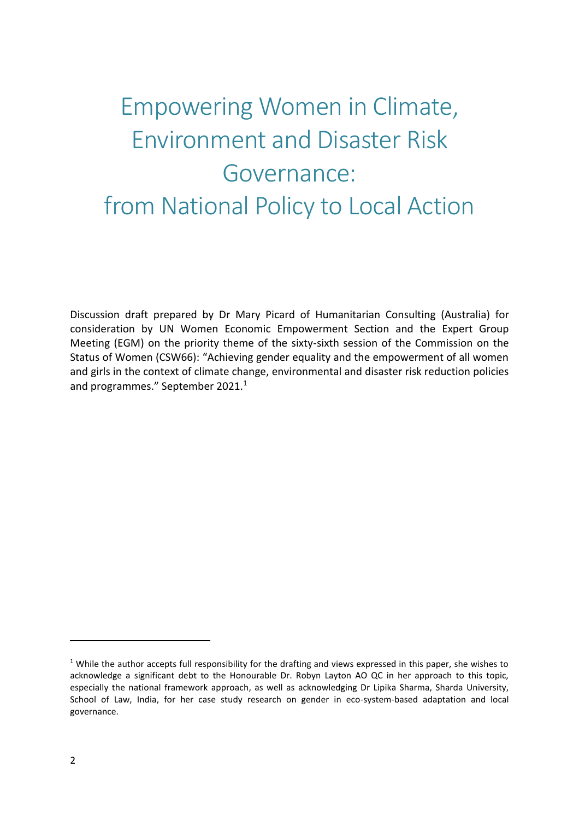# Empowering Women in Climate, Environment and Disaster Risk Governance: from National Policy to Local Action

Discussion draft prepared by Dr Mary Picard of Humanitarian Consulting (Australia) for consideration by UN Women Economic Empowerment Section and the Expert Group Meeting (EGM) on the priority theme of the sixty-sixth session of the Commission on the Status of Women (CSW66): "Achieving gender equality and the empowerment of all women and girls in the context of climate change, environmental and disaster risk reduction policies and programmes." September 2021.<sup>1</sup>

 $1$  While the author accepts full responsibility for the drafting and views expressed in this paper, she wishes to acknowledge a significant debt to the Honourable Dr. Robyn Layton AO QC in her approach to this topic, especially the national framework approach, as well as acknowledging Dr Lipika Sharma, Sharda University, School of Law, India, for her case study research on gender in eco-system-based adaptation and local governance.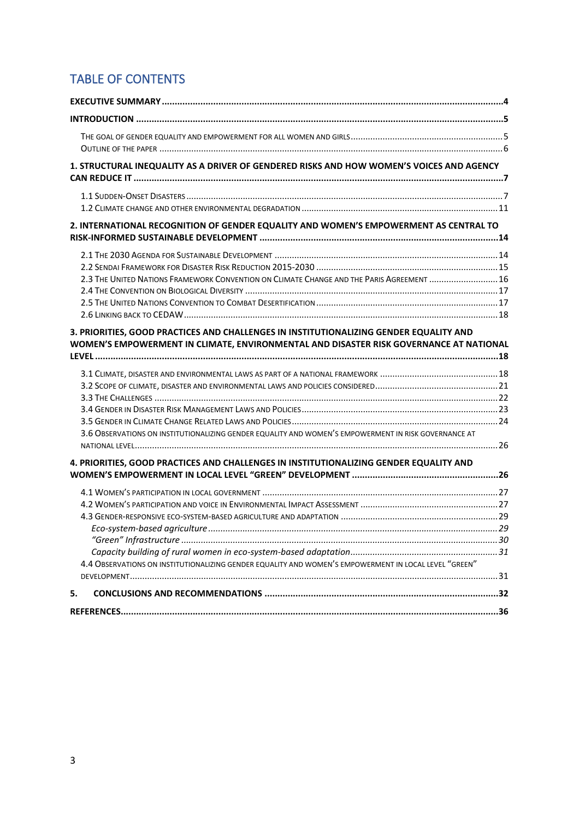# TABLE OF CONTENTS

| 1. STRUCTURAL INEQUALITY AS A DRIVER OF GENDERED RISKS AND HOW WOMEN'S VOICES AND AGENCY                                                                                         |  |
|----------------------------------------------------------------------------------------------------------------------------------------------------------------------------------|--|
|                                                                                                                                                                                  |  |
| 2. INTERNATIONAL RECOGNITION OF GENDER EQUALITY AND WOMEN'S EMPOWERMENT AS CENTRAL TO                                                                                            |  |
| 2.3 THE UNITED NATIONS FRAMEWORK CONVENTION ON CLIMATE CHANGE AND THE PARIS AGREEMENT  16                                                                                        |  |
| 3. PRIORITIES, GOOD PRACTICES AND CHALLENGES IN INSTITUTIONALIZING GENDER EQUALITY AND<br>WOMEN'S EMPOWERMENT IN CLIMATE, ENVIRONMENTAL AND DISASTER RISK GOVERNANCE AT NATIONAL |  |
| 3.6 OBSERVATIONS ON INSTITUTIONALIZING GENDER EQUALITY AND WOMEN'S EMPOWERMENT IN RISK GOVERNANCE AT                                                                             |  |
| 4. PRIORITIES, GOOD PRACTICES AND CHALLENGES IN INSTITUTIONALIZING GENDER EQUALITY AND                                                                                           |  |
| 4.4 OBSERVATIONS ON INSTITUTIONALIZING GENDER EQUALITY AND WOMEN'S EMPOWERMENT IN LOCAL LEVEL "GREEN"                                                                            |  |
| 5.                                                                                                                                                                               |  |
|                                                                                                                                                                                  |  |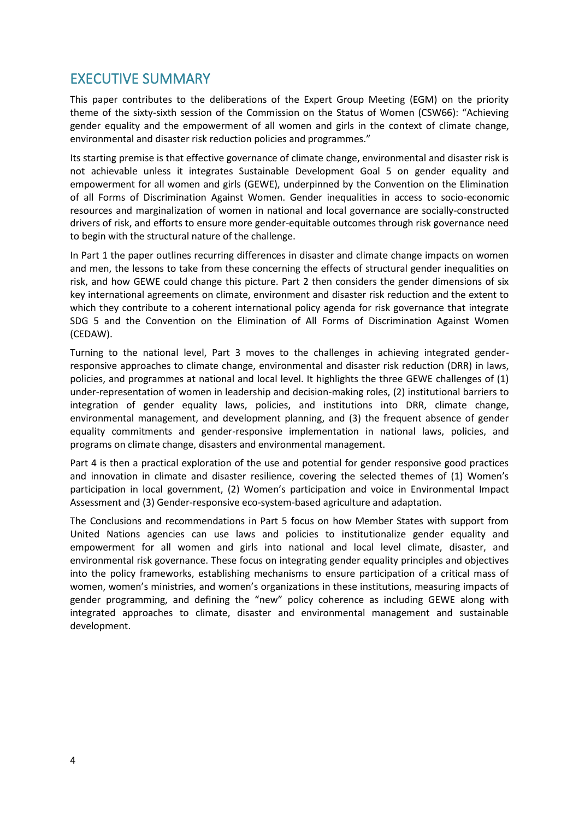# <span id="page-3-0"></span>EXECUTIVE SUMMARY

This paper contributes to the deliberations of the Expert Group Meeting (EGM) on the priority theme of the sixty-sixth session of the Commission on the Status of Women (CSW66): "Achieving gender equality and the empowerment of all women and girls in the context of climate change, environmental and disaster risk reduction policies and programmes."

Its starting premise is that effective governance of climate change, environmental and disaster risk is not achievable unless it integrates Sustainable Development Goal 5 on gender equality and empowerment for all women and girls (GEWE), underpinned by the Convention on the Elimination of all Forms of Discrimination Against Women. Gender inequalities in access to socio-economic resources and marginalization of women in national and local governance are socially-constructed drivers of risk, and efforts to ensure more gender-equitable outcomes through risk governance need to begin with the structural nature of the challenge.

In Part 1 the paper outlines recurring differences in disaster and climate change impacts on women and men, the lessons to take from these concerning the effects of structural gender inequalities on risk, and how GEWE could change this picture. Part 2 then considers the gender dimensions of six key international agreements on climate, environment and disaster risk reduction and the extent to which they contribute to a coherent international policy agenda for risk governance that integrate SDG 5 and the Convention on the Elimination of All Forms of Discrimination Against Women (CEDAW).

Turning to the national level, Part 3 moves to the challenges in achieving integrated genderresponsive approaches to climate change, environmental and disaster risk reduction (DRR) in laws, policies, and programmes at national and local level. It highlights the three GEWE challenges of (1) under-representation of women in leadership and decision-making roles, (2) institutional barriers to integration of gender equality laws, policies, and institutions into DRR, climate change, environmental management, and development planning, and (3) the frequent absence of gender equality commitments and gender-responsive implementation in national laws, policies, and programs on climate change, disasters and environmental management.

Part 4 is then a practical exploration of the use and potential for gender responsive good practices and innovation in climate and disaster resilience, covering the selected themes of (1) Women's participation in local government, (2) Women's participation and voice in Environmental Impact Assessment and (3) Gender-responsive eco-system-based agriculture and adaptation.

The Conclusions and recommendations in Part 5 focus on how Member States with support from United Nations agencies can use laws and policies to institutionalize gender equality and empowerment for all women and girls into national and local level climate, disaster, and environmental risk governance. These focus on integrating gender equality principles and objectives into the policy frameworks, establishing mechanisms to ensure participation of a critical mass of women, women's ministries, and women's organizations in these institutions, measuring impacts of gender programming, and defining the "new" policy coherence as including GEWE along with integrated approaches to climate, disaster and environmental management and sustainable development.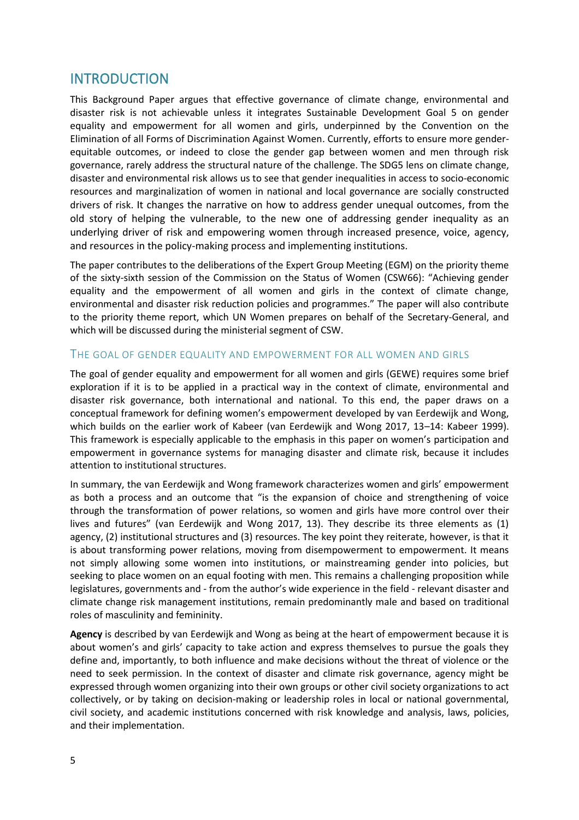## <span id="page-4-0"></span>INTRODUCTION

This Background Paper argues that effective governance of climate change, environmental and disaster risk is not achievable unless it integrates Sustainable Development Goal 5 on gender equality and empowerment for all women and girls, underpinned by the Convention on the Elimination of all Forms of Discrimination Against Women. Currently, efforts to ensure more genderequitable outcomes, or indeed to close the gender gap between women and men through risk governance, rarely address the structural nature of the challenge. The SDG5 lens on climate change, disaster and environmental risk allows us to see that gender inequalities in access to socio-economic resources and marginalization of women in national and local governance are socially constructed drivers of risk. It changes the narrative on how to address gender unequal outcomes, from the old story of helping the vulnerable, to the new one of addressing gender inequality as an underlying driver of risk and empowering women through increased presence, voice, agency, and resources in the policy-making process and implementing institutions.

The paper contributes to the deliberations of the Expert Group Meeting (EGM) on the priority theme of the sixty-sixth session of the Commission on the Status of Women (CSW66): "Achieving gender equality and the empowerment of all women and girls in the context of climate change, environmental and disaster risk reduction policies and programmes." The paper will also contribute to the priority theme report, which UN Women prepares on behalf of the Secretary-General, and which will be discussed during the ministerial segment of CSW.

#### <span id="page-4-1"></span>THE GOAL OF GENDER EQUALITY AND EMPOWERMENT FOR ALL WOMEN AND GIRLS

The goal of gender equality and empowerment for all women and girls (GEWE) requires some brief exploration if it is to be applied in a practical way in the context of climate, environmental and disaster risk governance, both international and national. To this end, the paper draws on a conceptual framework for defining women's empowerment developed by van Eerdewijk and Wong, which builds on the earlier work of Kabeer (van Eerdewijk and Wong 2017, 13–14: Kabeer 1999). This framework is especially applicable to the emphasis in this paper on women's participation and empowerment in governance systems for managing disaster and climate risk, because it includes attention to institutional structures.

In summary, the van Eerdewijk and Wong framework characterizes women and girls' empowerment as both a process and an outcome that "is the expansion of choice and strengthening of voice through the transformation of power relations, so women and girls have more control over their lives and futures" (van Eerdewijk and Wong 2017, 13). They describe its three elements as (1) agency, (2) institutional structures and (3) resources. The key point they reiterate, however, is that it is about transforming power relations, moving from disempowerment to empowerment. It means not simply allowing some women into institutions, or mainstreaming gender into policies, but seeking to place women on an equal footing with men. This remains a challenging proposition while legislatures, governments and - from the author's wide experience in the field - relevant disaster and climate change risk management institutions, remain predominantly male and based on traditional roles of masculinity and femininity.

**Agency** is described by van Eerdewijk and Wong as being at the heart of empowerment because it is about women's and girls' capacity to take action and express themselves to pursue the goals they define and, importantly, to both influence and make decisions without the threat of violence or the need to seek permission. In the context of disaster and climate risk governance, agency might be expressed through women organizing into their own groups or other civil society organizations to act collectively, or by taking on decision-making or leadership roles in local or national governmental, civil society, and academic institutions concerned with risk knowledge and analysis, laws, policies, and their implementation.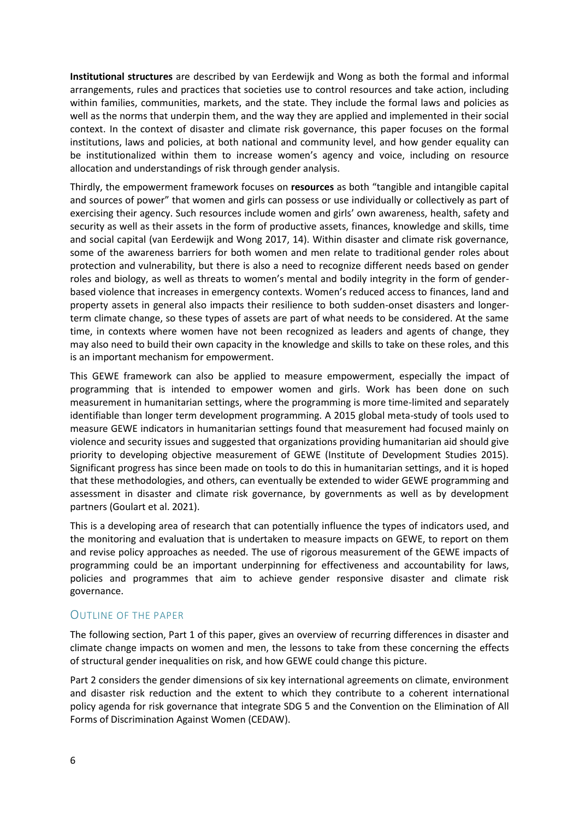**Institutional structures** are described by van Eerdewijk and Wong as both the formal and informal arrangements, rules and practices that societies use to control resources and take action, including within families, communities, markets, and the state. They include the formal laws and policies as well as the norms that underpin them, and the way they are applied and implemented in their social context. In the context of disaster and climate risk governance, this paper focuses on the formal institutions, laws and policies, at both national and community level, and how gender equality can be institutionalized within them to increase women's agency and voice, including on resource allocation and understandings of risk through gender analysis.

Thirdly, the empowerment framework focuses on **resources** as both "tangible and intangible capital and sources of power" that women and girls can possess or use individually or collectively as part of exercising their agency. Such resources include women and girls' own awareness, health, safety and security as well as their assets in the form of productive assets, finances, knowledge and skills, time and social capital (van Eerdewijk and Wong 2017, 14). Within disaster and climate risk governance, some of the awareness barriers for both women and men relate to traditional gender roles about protection and vulnerability, but there is also a need to recognize different needs based on gender roles and biology, as well as threats to women's mental and bodily integrity in the form of genderbased violence that increases in emergency contexts. Women's reduced access to finances, land and property assets in general also impacts their resilience to both sudden-onset disasters and longerterm climate change, so these types of assets are part of what needs to be considered. At the same time, in contexts where women have not been recognized as leaders and agents of change, they may also need to build their own capacity in the knowledge and skills to take on these roles, and this is an important mechanism for empowerment.

This GEWE framework can also be applied to measure empowerment, especially the impact of programming that is intended to empower women and girls. Work has been done on such measurement in humanitarian settings, where the programming is more time-limited and separately identifiable than longer term development programming. A 2015 global meta-study of tools used to measure GEWE indicators in humanitarian settings found that measurement had focused mainly on violence and security issues and suggested that organizations providing humanitarian aid should give priority to developing objective measurement of GEWE (Institute of Development Studies 2015). Significant progress has since been made on tools to do this in humanitarian settings, and it is hoped that these methodologies, and others, can eventually be extended to wider GEWE programming and assessment in disaster and climate risk governance, by governments as well as by development partners (Goulart et al. 2021).

This is a developing area of research that can potentially influence the types of indicators used, and the monitoring and evaluation that is undertaken to measure impacts on GEWE, to report on them and revise policy approaches as needed. The use of rigorous measurement of the GEWE impacts of programming could be an important underpinning for effectiveness and accountability for laws, policies and programmes that aim to achieve gender responsive disaster and climate risk governance.

#### <span id="page-5-0"></span>OUTLINE OF THE PAPER

The following section, Part 1 of this paper, gives an overview of recurring differences in disaster and climate change impacts on women and men, the lessons to take from these concerning the effects of structural gender inequalities on risk, and how GEWE could change this picture.

Part 2 considers the gender dimensions of six key international agreements on climate, environment and disaster risk reduction and the extent to which they contribute to a coherent international policy agenda for risk governance that integrate SDG 5 and the Convention on the Elimination of All Forms of Discrimination Against Women (CEDAW).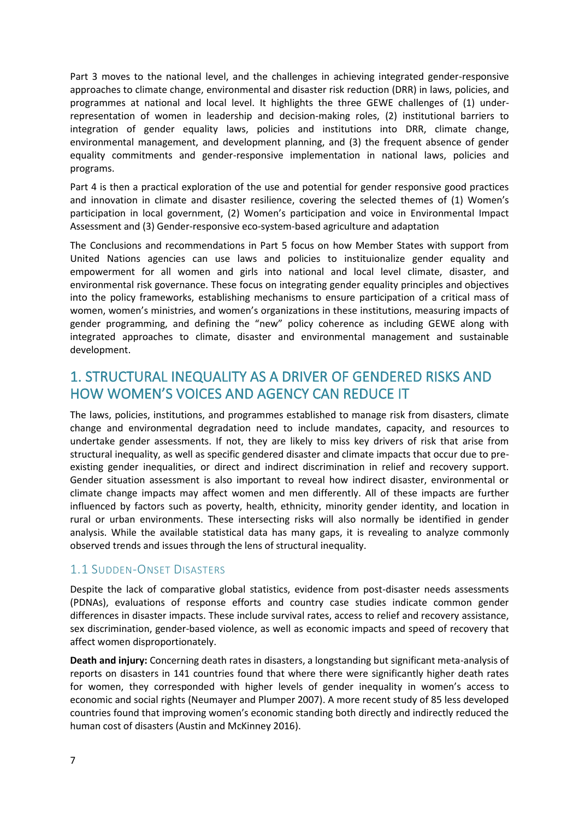Part 3 moves to the national level, and the challenges in achieving integrated gender-responsive approaches to climate change, environmental and disaster risk reduction (DRR) in laws, policies, and programmes at national and local level. It highlights the three GEWE challenges of (1) underrepresentation of women in leadership and decision-making roles, (2) institutional barriers to integration of gender equality laws, policies and institutions into DRR, climate change, environmental management, and development planning, and (3) the frequent absence of gender equality commitments and gender-responsive implementation in national laws, policies and programs.

Part 4 is then a practical exploration of the use and potential for gender responsive good practices and innovation in climate and disaster resilience, covering the selected themes of (1) Women's participation in local government, (2) Women's participation and voice in Environmental Impact Assessment and (3) Gender-responsive eco-system-based agriculture and adaptation

The Conclusions and recommendations in Part 5 focus on how Member States with support from United Nations agencies can use laws and policies to instituionalize gender equality and empowerment for all women and girls into national and local level climate, disaster, and environmental risk governance. These focus on integrating gender equality principles and objectives into the policy frameworks, establishing mechanisms to ensure participation of a critical mass of women, women's ministries, and women's organizations in these institutions, measuring impacts of gender programming, and defining the "new" policy coherence as including GEWE along with integrated approaches to climate, disaster and environmental management and sustainable development.

# <span id="page-6-0"></span>1. STRUCTURAL INEQUALITY AS A DRIVER OF GENDERED RISKS AND HOW WOMEN'S VOICES AND AGENCY CAN REDUCE IT

The laws, policies, institutions, and programmes established to manage risk from disasters, climate change and environmental degradation need to include mandates, capacity, and resources to undertake gender assessments. If not, they are likely to miss key drivers of risk that arise from structural inequality, as well as specific gendered disaster and climate impacts that occur due to preexisting gender inequalities, or direct and indirect discrimination in relief and recovery support. Gender situation assessment is also important to reveal how indirect disaster, environmental or climate change impacts may affect women and men differently. All of these impacts are further influenced by factors such as poverty, health, ethnicity, minority gender identity, and location in rural or urban environments. These intersecting risks will also normally be identified in gender analysis. While the available statistical data has many gaps, it is revealing to analyze commonly observed trends and issues through the lens of structural inequality.

### <span id="page-6-1"></span>1.1 SUDDEN-ONSET DISASTERS

Despite the lack of comparative global statistics, evidence from post-disaster needs assessments (PDNAs), evaluations of response efforts and country case studies indicate common gender differences in disaster impacts. These include survival rates, access to relief and recovery assistance, sex discrimination, gender-based violence, as well as economic impacts and speed of recovery that affect women disproportionately.

**Death and injury:** Concerning death rates in disasters, a longstanding but significant meta-analysis of reports on disasters in 141 countries found that where there were significantly higher death rates for women, they corresponded with higher levels of gender inequality in women's access to economic and social rights (Neumayer and Plumper 2007). A more recent study of 85 less developed countries found that improving women's economic standing both directly and indirectly reduced the human cost of disasters (Austin and McKinney 2016).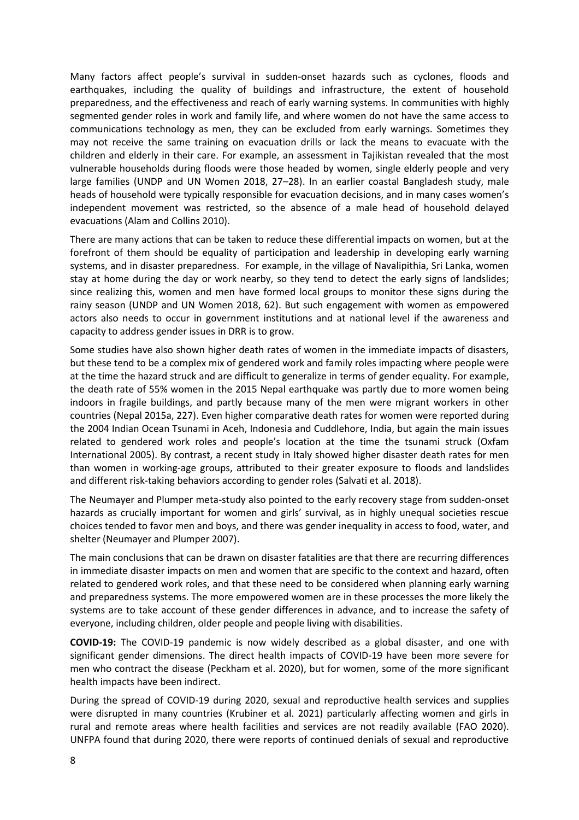Many factors affect people's survival in sudden-onset hazards such as cyclones, floods and earthquakes, including the quality of buildings and infrastructure, the extent of household preparedness, and the effectiveness and reach of early warning systems. In communities with highly segmented gender roles in work and family life, and where women do not have the same access to communications technology as men, they can be excluded from early warnings. Sometimes they may not receive the same training on evacuation drills or lack the means to evacuate with the children and elderly in their care. For example, an assessment in Tajikistan revealed that the most vulnerable households during floods were those headed by women, single elderly people and very large families (UNDP and UN Women 2018, 27–28). In an earlier coastal Bangladesh study, male heads of household were typically responsible for evacuation decisions, and in many cases women's independent movement was restricted, so the absence of a male head of household delayed evacuations (Alam and Collins 2010).

There are many actions that can be taken to reduce these differential impacts on women, but at the forefront of them should be equality of participation and leadership in developing early warning systems, and in disaster preparedness. For example, in the village of Navalipithia, Sri Lanka, women stay at home during the day or work nearby, so they tend to detect the early signs of landslides; since realizing this, women and men have formed local groups to monitor these signs during the rainy season (UNDP and UN Women 2018, 62). But such engagement with women as empowered actors also needs to occur in government institutions and at national level if the awareness and capacity to address gender issues in DRR is to grow.

Some studies have also shown higher death rates of women in the immediate impacts of disasters, but these tend to be a complex mix of gendered work and family roles impacting where people were at the time the hazard struck and are difficult to generalize in terms of gender equality. For example, the death rate of 55% women in the 2015 Nepal earthquake was partly due to more women being indoors in fragile buildings, and partly because many of the men were migrant workers in other countries (Nepal 2015a, 227). Even higher comparative death rates for women were reported during the 2004 Indian Ocean Tsunami in Aceh, Indonesia and Cuddlehore, India, but again the main issues related to gendered work roles and people's location at the time the tsunami struck (Oxfam International 2005). By contrast, a recent study in Italy showed higher disaster death rates for men than women in working-age groups, attributed to their greater exposure to floods and landslides and different risk-taking behaviors according to gender roles (Salvati et al. 2018).

The Neumayer and Plumper meta-study also pointed to the early recovery stage from sudden-onset hazards as crucially important for women and girls' survival, as in highly unequal societies rescue choices tended to favor men and boys, and there was gender inequality in access to food, water, and shelter (Neumayer and Plumper 2007).

The main conclusions that can be drawn on disaster fatalities are that there are recurring differences in immediate disaster impacts on men and women that are specific to the context and hazard, often related to gendered work roles, and that these need to be considered when planning early warning and preparedness systems. The more empowered women are in these processes the more likely the systems are to take account of these gender differences in advance, and to increase the safety of everyone, including children, older people and people living with disabilities.

**COVID-19:** The COVID-19 pandemic is now widely described as a global disaster, and one with significant gender dimensions. The direct health impacts of COVID-19 have been more severe for men who contract the disease (Peckham et al. 2020), but for women, some of the more significant health impacts have been indirect.

During the spread of COVID-19 during 2020, sexual and reproductive health services and supplies were disrupted in many countries (Krubiner et al. 2021) particularly affecting women and girls in rural and remote areas where health facilities and services are not readily available (FAO 2020). UNFPA found that during 2020, there were reports of continued denials of sexual and reproductive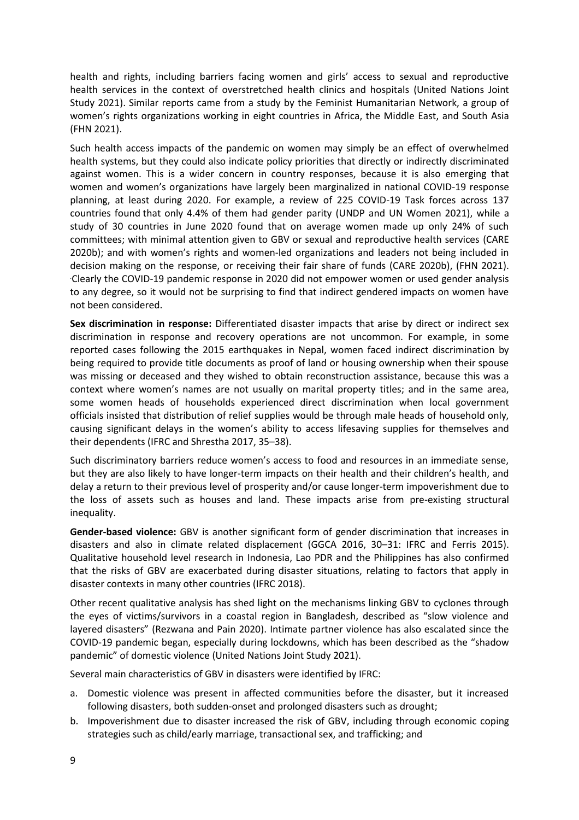health and rights, including barriers facing women and girls' access to sexual and reproductive health services in the context of overstretched health clinics and hospitals (United Nations Joint Study 2021). Similar reports came from a study by the Feminist Humanitarian Network, a group of women's rights organizations working in eight countries in Africa, the Middle East, and South Asia (FHN 2021).

Such health access impacts of the pandemic on women may simply be an effect of overwhelmed health systems, but they could also indicate policy priorities that directly or indirectly discriminated against women. This is a wider concern in country responses, because it is also emerging that women and women's organizations have largely been marginalized in national COVID-19 response planning, at least during 2020. For example, a review of 225 COVID-19 Task forces across 137 countries found that only 4.4% of them had gender parity (UNDP and UN Women 2021), while a study of 30 countries in June 2020 found that on average women made up only 24% of such committees; with minimal attention given to GBV or sexual and reproductive health services (CARE 2020b); and with women's rights and women-led organizations and leaders not being included in decision making on the response, or receiving their fair share of funds (CARE 2020b), (FHN 2021). .Clearly the COVID-19 pandemic response in 2020 did not empower women or used gender analysis to any degree, so it would not be surprising to find that indirect gendered impacts on women have not been considered.

**Sex discrimination in response:** Differentiated disaster impacts that arise by direct or indirect sex discrimination in response and recovery operations are not uncommon. For example, in some reported cases following the 2015 earthquakes in Nepal, women faced indirect discrimination by being required to provide title documents as proof of land or housing ownership when their spouse was missing or deceased and they wished to obtain reconstruction assistance, because this was a context where women's names are not usually on marital property titles; and in the same area, some women heads of households experienced direct discrimination when local government officials insisted that distribution of relief supplies would be through male heads of household only, causing significant delays in the women's ability to access lifesaving supplies for themselves and their dependents (IFRC and Shrestha 2017, 35–38).

Such discriminatory barriers reduce women's access to food and resources in an immediate sense, but they are also likely to have longer-term impacts on their health and their children's health, and delay a return to their previous level of prosperity and/or cause longer-term impoverishment due to the loss of assets such as houses and land. These impacts arise from pre-existing structural inequality.

**Gender-based violence:** GBV is another significant form of gender discrimination that increases in disasters and also in climate related displacement (GGCA 2016, 30–31: IFRC and Ferris 2015). Qualitative household level research in Indonesia, Lao PDR and the Philippines has also confirmed that the risks of GBV are exacerbated during disaster situations, relating to factors that apply in disaster contexts in many other countries (IFRC 2018).

Other recent qualitative analysis has shed light on the mechanisms linking GBV to cyclones through the eyes of victims/survivors in a coastal region in Bangladesh, described as "slow violence and layered disasters" (Rezwana and Pain 2020). Intimate partner violence has also escalated since the COVID-19 pandemic began, especially during lockdowns, which has been described as the "shadow pandemic" of domestic violence (United Nations Joint Study 2021).

Several main characteristics of GBV in disasters were identified by IFRC:

- a. Domestic violence was present in affected communities before the disaster, but it increased following disasters, both sudden-onset and prolonged disasters such as drought;
- b. Impoverishment due to disaster increased the risk of GBV, including through economic coping strategies such as child/early marriage, transactional sex, and trafficking; and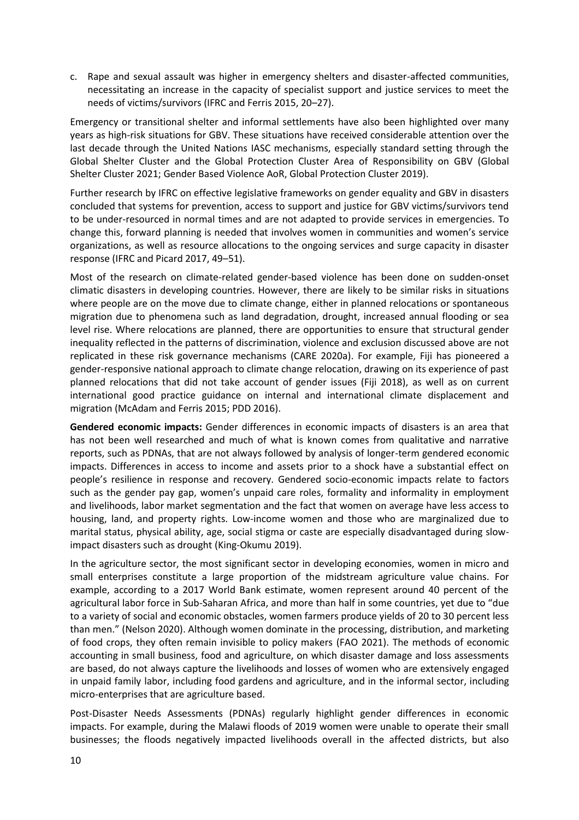c. Rape and sexual assault was higher in emergency shelters and disaster-affected communities, necessitating an increase in the capacity of specialist support and justice services to meet the needs of victims/survivors (IFRC and Ferris 2015, 20–27).

Emergency or transitional shelter and informal settlements have also been highlighted over many years as high-risk situations for GBV. These situations have received considerable attention over the last decade through the United Nations IASC mechanisms, especially standard setting through the Global Shelter Cluster and the Global Protection Cluster Area of Responsibility on GBV (Global Shelter Cluster 2021; Gender Based Violence AoR, Global Protection Cluster 2019).

Further research by IFRC on effective legislative frameworks on gender equality and GBV in disasters concluded that systems for prevention, access to support and justice for GBV victims/survivors tend to be under-resourced in normal times and are not adapted to provide services in emergencies. To change this, forward planning is needed that involves women in communities and women's service organizations, as well as resource allocations to the ongoing services and surge capacity in disaster response (IFRC and Picard 2017, 49–51).

Most of the research on climate-related gender-based violence has been done on sudden-onset climatic disasters in developing countries. However, there are likely to be similar risks in situations where people are on the move due to climate change, either in planned relocations or spontaneous migration due to phenomena such as land degradation, drought, increased annual flooding or sea level rise. Where relocations are planned, there are opportunities to ensure that structural gender inequality reflected in the patterns of discrimination, violence and exclusion discussed above are not replicated in these risk governance mechanisms (CARE 2020a). For example, Fiji has pioneered a gender-responsive national approach to climate change relocation, drawing on its experience of past planned relocations that did not take account of gender issues (Fiji 2018), as well as on current international good practice guidance on internal and international climate displacement and migration (McAdam and Ferris 2015; PDD 2016).

**Gendered economic impacts:** Gender differences in economic impacts of disasters is an area that has not been well researched and much of what is known comes from qualitative and narrative reports, such as PDNAs, that are not always followed by analysis of longer-term gendered economic impacts. Differences in access to income and assets prior to a shock have a substantial effect on people's resilience in response and recovery. Gendered socio-economic impacts relate to factors such as the gender pay gap, women's unpaid care roles, formality and informality in employment and livelihoods, labor market segmentation and the fact that women on average have less access to housing, land, and property rights. Low-income women and those who are marginalized due to marital status, physical ability, age, social stigma or caste are especially disadvantaged during slowimpact disasters such as drought (King-Okumu 2019).

In the agriculture sector, the most significant sector in developing economies, women in micro and small enterprises constitute a large proportion of the midstream agriculture value chains. For example, according to a 2017 World Bank estimate, women represent around 40 percent of the agricultural labor force in Sub-Saharan Africa, and more than half in some countries, yet due to "due to a variety of social and economic obstacles, women farmers produce yields of 20 to 30 percent less than men." (Nelson 2020). Although women dominate in the processing, distribution, and marketing of food crops, they often remain invisible to policy makers (FAO 2021). The methods of economic accounting in small business, food and agriculture, on which disaster damage and loss assessments are based, do not always capture the livelihoods and losses of women who are extensively engaged in unpaid family labor, including food gardens and agriculture, and in the informal sector, including micro-enterprises that are agriculture based.

Post-Disaster Needs Assessments (PDNAs) regularly highlight gender differences in economic impacts. For example, during the Malawi floods of 2019 women were unable to operate their small businesses; the floods negatively impacted livelihoods overall in the affected districts, but also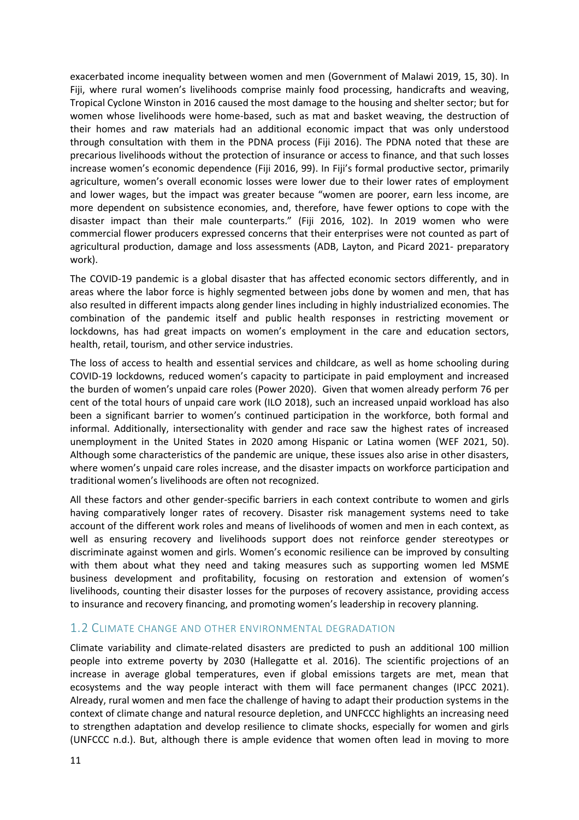exacerbated income inequality between women and men (Government of Malawi 2019, 15, 30). In Fiji, where rural women's livelihoods comprise mainly food processing, handicrafts and weaving, Tropical Cyclone Winston in 2016 caused the most damage to the housing and shelter sector; but for women whose livelihoods were home-based, such as mat and basket weaving, the destruction of their homes and raw materials had an additional economic impact that was only understood through consultation with them in the PDNA process (Fiji 2016). The PDNA noted that these are precarious livelihoods without the protection of insurance or access to finance, and that such losses increase women's economic dependence (Fiji 2016, 99). In Fiji's formal productive sector, primarily agriculture, women's overall economic losses were lower due to their lower rates of employment and lower wages, but the impact was greater because "women are poorer, earn less income, are more dependent on subsistence economies, and, therefore, have fewer options to cope with the disaster impact than their male counterparts." (Fiji 2016, 102). In 2019 women who were commercial flower producers expressed concerns that their enterprises were not counted as part of agricultural production, damage and loss assessments (ADB, Layton, and Picard 2021- preparatory work).

The COVID-19 pandemic is a global disaster that has affected economic sectors differently, and in areas where the labor force is highly segmented between jobs done by women and men, that has also resulted in different impacts along gender lines including in highly industrialized economies. The combination of the pandemic itself and public health responses in restricting movement or lockdowns, has had great impacts on women's employment in the care and education sectors, health, retail, tourism, and other service industries.

The loss of access to health and essential services and childcare, as well as home schooling during COVID-19 lockdowns, reduced women's capacity to participate in paid employment and increased the burden of women's unpaid care roles (Power 2020). Given that women already perform 76 per cent of the total hours of unpaid care work (ILO 2018), such an increased unpaid workload has also been a significant barrier to women's continued participation in the workforce, both formal and informal. Additionally, intersectionality with gender and race saw the highest rates of increased unemployment in the United States in 2020 among Hispanic or Latina women (WEF 2021, 50). Although some characteristics of the pandemic are unique, these issues also arise in other disasters, where women's unpaid care roles increase, and the disaster impacts on workforce participation and traditional women's livelihoods are often not recognized.

All these factors and other gender-specific barriers in each context contribute to women and girls having comparatively longer rates of recovery. Disaster risk management systems need to take account of the different work roles and means of livelihoods of women and men in each context, as well as ensuring recovery and livelihoods support does not reinforce gender stereotypes or discriminate against women and girls. Women's economic resilience can be improved by consulting with them about what they need and taking measures such as supporting women led MSME business development and profitability, focusing on restoration and extension of women's livelihoods, counting their disaster losses for the purposes of recovery assistance, providing access to insurance and recovery financing, and promoting women's leadership in recovery planning.

#### <span id="page-10-0"></span>1.2 CLIMATE CHANGE AND OTHER ENVIRONMENTAL DEGRADATION

Climate variability and climate-related disasters are predicted to push an additional 100 million people into extreme poverty by 2030 (Hallegatte et al. 2016). The scientific projections of an increase in average global temperatures, even if global emissions targets are met, mean that ecosystems and the way people interact with them will face permanent changes (IPCC 2021). Already, rural women and men face the challenge of having to adapt their production systems in the context of climate change and natural resource depletion, and UNFCCC highlights an increasing need to strengthen adaptation and develop resilience to climate shocks, especially for women and girls (UNFCCC n.d.). But, although there is ample evidence that women often lead in moving to more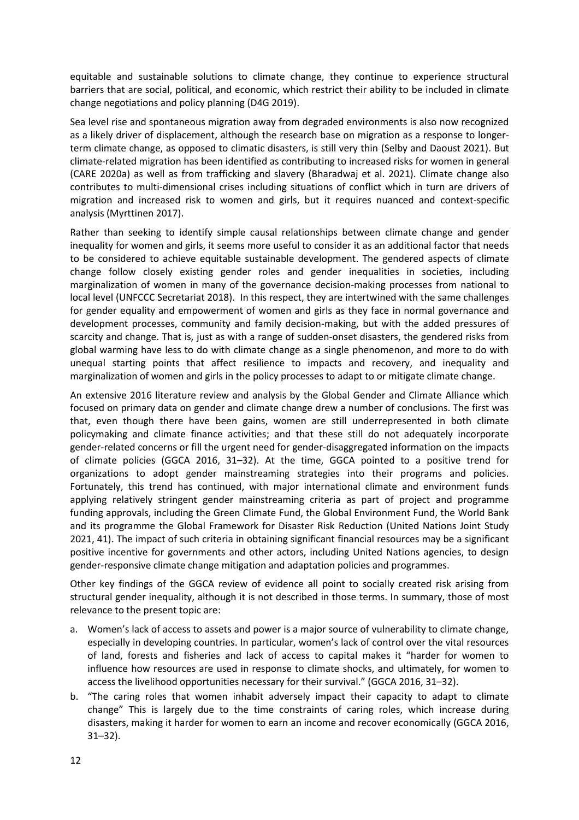equitable and sustainable solutions to climate change, they continue to experience structural barriers that are social, political, and economic, which restrict their ability to be included in climate change negotiations and policy planning (D4G 2019).

Sea level rise and spontaneous migration away from degraded environments is also now recognized as a likely driver of displacement, although the research base on migration as a response to longerterm climate change, as opposed to climatic disasters, is still very thin (Selby and Daoust 2021). But climate-related migration has been identified as contributing to increased risks for women in general (CARE 2020a) as well as from trafficking and slavery (Bharadwaj et al. 2021). Climate change also contributes to multi-dimensional crises including situations of conflict which in turn are drivers of migration and increased risk to women and girls, but it requires nuanced and context-specific analysis (Myrttinen 2017).

Rather than seeking to identify simple causal relationships between climate change and gender inequality for women and girls, it seems more useful to consider it as an additional factor that needs to be considered to achieve equitable sustainable development. The gendered aspects of climate change follow closely existing gender roles and gender inequalities in societies, including marginalization of women in many of the governance decision-making processes from national to local level (UNFCCC Secretariat 2018). In this respect, they are intertwined with the same challenges for gender equality and empowerment of women and girls as they face in normal governance and development processes, community and family decision-making, but with the added pressures of scarcity and change. That is, just as with a range of sudden-onset disasters, the gendered risks from global warming have less to do with climate change as a single phenomenon, and more to do with unequal starting points that affect resilience to impacts and recovery, and inequality and marginalization of women and girls in the policy processes to adapt to or mitigate climate change.

An extensive 2016 literature review and analysis by the Global Gender and Climate Alliance which focused on primary data on gender and climate change drew a number of conclusions. The first was that, even though there have been gains, women are still underrepresented in both climate policymaking and climate finance activities; and that these still do not adequately incorporate gender-related concerns or fill the urgent need for gender-disaggregated information on the impacts of climate policies (GGCA 2016, 31–32). At the time, GGCA pointed to a positive trend for organizations to adopt gender mainstreaming strategies into their programs and policies. Fortunately, this trend has continued, with major international climate and environment funds applying relatively stringent gender mainstreaming criteria as part of project and programme funding approvals, including the Green Climate Fund, the Global Environment Fund, the World Bank and its programme the Global Framework for Disaster Risk Reduction (United Nations Joint Study 2021, 41). The impact of such criteria in obtaining significant financial resources may be a significant positive incentive for governments and other actors, including United Nations agencies, to design gender-responsive climate change mitigation and adaptation policies and programmes.

Other key findings of the GGCA review of evidence all point to socially created risk arising from structural gender inequality, although it is not described in those terms. In summary, those of most relevance to the present topic are:

- a. Women's lack of access to assets and power is a major source of vulnerability to climate change, especially in developing countries. In particular, women's lack of control over the vital resources of land, forests and fisheries and lack of access to capital makes it "harder for women to influence how resources are used in response to climate shocks, and ultimately, for women to access the livelihood opportunities necessary for their survival." (GGCA 2016, 31–32).
- b. "The caring roles that women inhabit adversely impact their capacity to adapt to climate change" This is largely due to the time constraints of caring roles, which increase during disasters, making it harder for women to earn an income and recover economically (GGCA 2016, 31–32).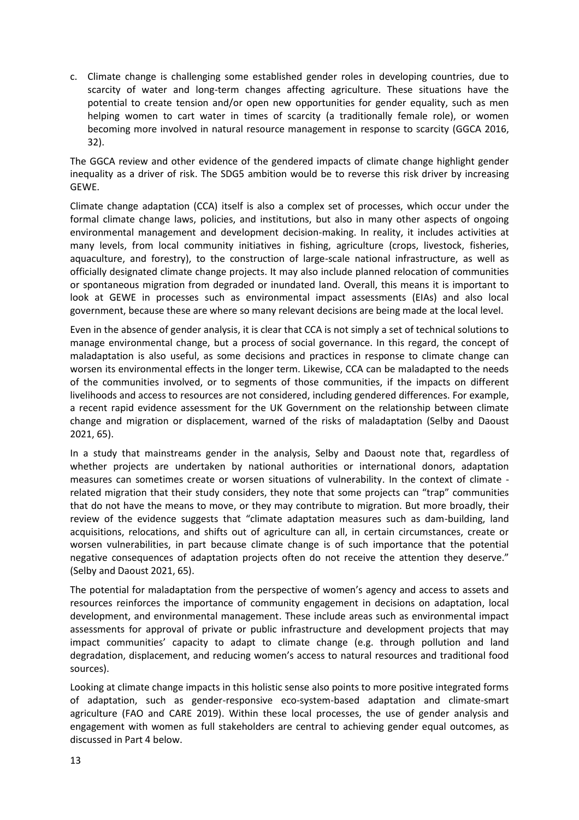c. Climate change is challenging some established gender roles in developing countries, due to scarcity of water and long-term changes affecting agriculture. These situations have the potential to create tension and/or open new opportunities for gender equality, such as men helping women to cart water in times of scarcity (a traditionally female role), or women becoming more involved in natural resource management in response to scarcity (GGCA 2016, 32).

The GGCA review and other evidence of the gendered impacts of climate change highlight gender inequality as a driver of risk. The SDG5 ambition would be to reverse this risk driver by increasing GEWE.

Climate change adaptation (CCA) itself is also a complex set of processes, which occur under the formal climate change laws, policies, and institutions, but also in many other aspects of ongoing environmental management and development decision-making. In reality, it includes activities at many levels, from local community initiatives in fishing, agriculture (crops, livestock, fisheries, aquaculture, and forestry), to the construction of large-scale national infrastructure, as well as officially designated climate change projects. It may also include planned relocation of communities or spontaneous migration from degraded or inundated land. Overall, this means it is important to look at GEWE in processes such as environmental impact assessments (EIAs) and also local government, because these are where so many relevant decisions are being made at the local level.

Even in the absence of gender analysis, it is clear that CCA is not simply a set of technical solutions to manage environmental change, but a process of social governance. In this regard, the concept of maladaptation is also useful, as some decisions and practices in response to climate change can worsen its environmental effects in the longer term. Likewise, CCA can be maladapted to the needs of the communities involved, or to segments of those communities, if the impacts on different livelihoods and access to resources are not considered, including gendered differences. For example, a recent rapid evidence assessment for the UK Government on the relationship between climate change and migration or displacement, warned of the risks of maladaptation (Selby and Daoust 2021, 65).

In a study that mainstreams gender in the analysis, Selby and Daoust note that, regardless of whether projects are undertaken by national authorities or international donors, adaptation measures can sometimes create or worsen situations of vulnerability. In the context of climate related migration that their study considers, they note that some projects can "trap" communities that do not have the means to move, or they may contribute to migration. But more broadly, their review of the evidence suggests that "climate adaptation measures such as dam-building, land acquisitions, relocations, and shifts out of agriculture can all, in certain circumstances, create or worsen vulnerabilities, in part because climate change is of such importance that the potential negative consequences of adaptation projects often do not receive the attention they deserve." (Selby and Daoust 2021, 65).

The potential for maladaptation from the perspective of women's agency and access to assets and resources reinforces the importance of community engagement in decisions on adaptation, local development, and environmental management. These include areas such as environmental impact assessments for approval of private or public infrastructure and development projects that may impact communities' capacity to adapt to climate change (e.g. through pollution and land degradation, displacement, and reducing women's access to natural resources and traditional food sources).

Looking at climate change impacts in this holistic sense also points to more positive integrated forms of adaptation, such as gender-responsive eco-system-based adaptation and climate-smart agriculture (FAO and CARE 2019). Within these local processes, the use of gender analysis and engagement with women as full stakeholders are central to achieving gender equal outcomes, as discussed in Part 4 below.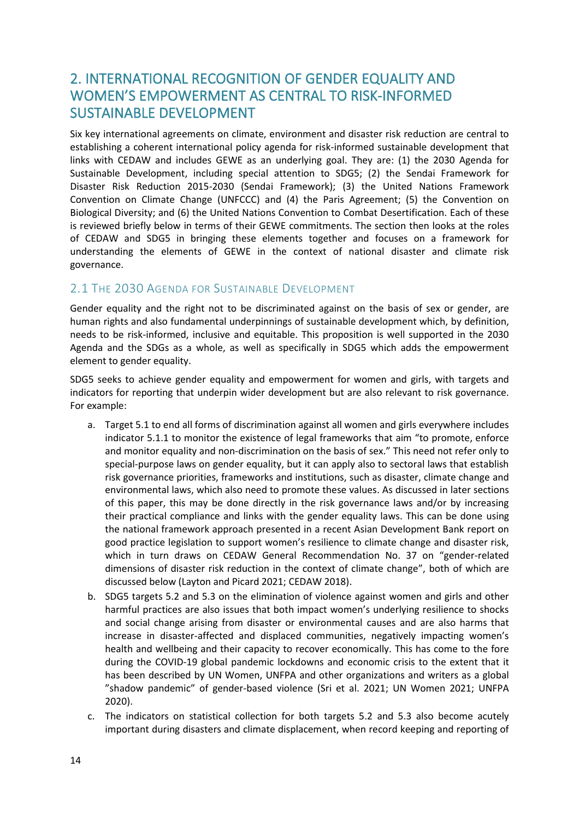# <span id="page-13-0"></span>2. INTERNATIONAL RECOGNITION OF GENDER EQUALITY AND WOMEN'S EMPOWERMENT AS CENTRAL TO RISK-INFORMED SUSTAINABLE DEVELOPMENT

Six key international agreements on climate, environment and disaster risk reduction are central to establishing a coherent international policy agenda for risk-informed sustainable development that links with CEDAW and includes GEWE as an underlying goal. They are: (1) the 2030 Agenda for Sustainable Development, including special attention to SDG5; (2) the Sendai Framework for Disaster Risk Reduction 2015-2030 (Sendai Framework); (3) the United Nations Framework Convention on Climate Change (UNFCCC) and (4) the Paris Agreement; (5) the Convention on Biological Diversity; and (6) the United Nations Convention to Combat Desertification. Each of these is reviewed briefly below in terms of their GEWE commitments. The section then looks at the roles of CEDAW and SDG5 in bringing these elements together and focuses on a framework for understanding the elements of GEWE in the context of national disaster and climate risk governance.

### <span id="page-13-1"></span>2.1 THE 2030 AGENDA FOR SUSTAINABLE DEVELOPMENT

Gender equality and the right not to be discriminated against on the basis of sex or gender, are human rights and also fundamental underpinnings of sustainable development which, by definition, needs to be risk-informed, inclusive and equitable. This proposition is well supported in the 2030 Agenda and the SDGs as a whole, as well as specifically in SDG5 which adds the empowerment element to gender equality.

SDG5 seeks to achieve gender equality and empowerment for women and girls, with targets and indicators for reporting that underpin wider development but are also relevant to risk governance. For example:

- a. Target 5.1 to end all forms of discrimination against all women and girls everywhere includes indicator 5.1.1 to monitor the existence of legal frameworks that aim "to promote, enforce and monitor equality and non-discrimination on the basis of sex." This need not refer only to special-purpose laws on gender equality, but it can apply also to sectoral laws that establish risk governance priorities, frameworks and institutions, such as disaster, climate change and environmental laws, which also need to promote these values. As discussed in later sections of this paper, this may be done directly in the risk governance laws and/or by increasing their practical compliance and links with the gender equality laws. This can be done using the national framework approach presented in a recent Asian Development Bank report on good practice legislation to support women's resilience to climate change and disaster risk, which in turn draws on CEDAW General Recommendation No. 37 on "gender-related dimensions of disaster risk reduction in the context of climate change", both of which are discussed below (Layton and Picard 2021; CEDAW 2018).
- b. SDG5 targets 5.2 and 5.3 on the elimination of violence against women and girls and other harmful practices are also issues that both impact women's underlying resilience to shocks and social change arising from disaster or environmental causes and are also harms that increase in disaster-affected and displaced communities, negatively impacting women's health and wellbeing and their capacity to recover economically. This has come to the fore during the COVID-19 global pandemic lockdowns and economic crisis to the extent that it has been described by UN Women, UNFPA and other organizations and writers as a global "shadow pandemic" of gender-based violence (Sri et al. 2021; UN Women 2021; UNFPA 2020).
- c. The indicators on statistical collection for both targets 5.2 and 5.3 also become acutely important during disasters and climate displacement, when record keeping and reporting of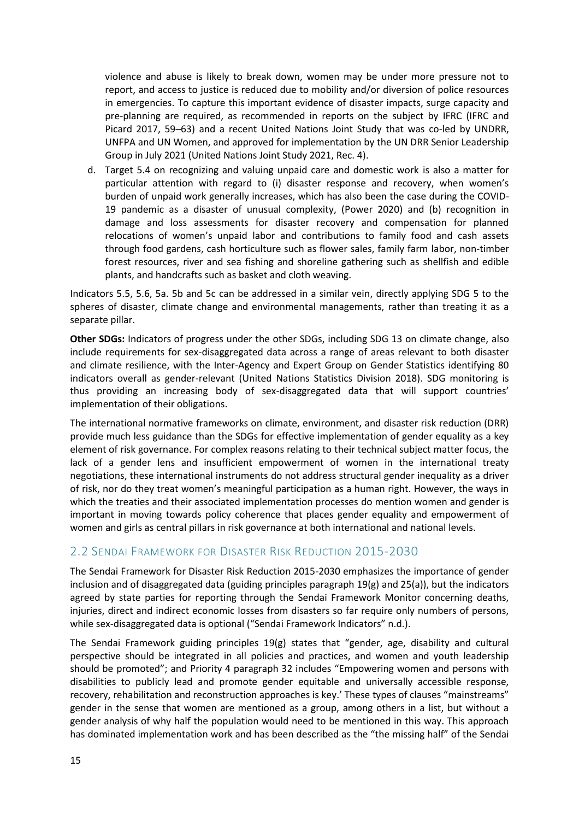violence and abuse is likely to break down, women may be under more pressure not to report, and access to justice is reduced due to mobility and/or diversion of police resources in emergencies. To capture this important evidence of disaster impacts, surge capacity and pre-planning are required, as recommended in reports on the subject by IFRC (IFRC and Picard 2017, 59–63) and a recent United Nations Joint Study that was co-led by UNDRR, UNFPA and UN Women, and approved for implementation by the UN DRR Senior Leadership Group in July 2021 (United Nations Joint Study 2021, Rec. 4).

d. Target 5.4 on recognizing and valuing unpaid care and domestic work is also a matter for particular attention with regard to (i) disaster response and recovery, when women's burden of unpaid work generally increases, which has also been the case during the COVID-19 pandemic as a disaster of unusual complexity, (Power 2020) and (b) recognition in damage and loss assessments for disaster recovery and compensation for planned relocations of women's unpaid labor and contributions to family food and cash assets through food gardens, cash horticulture such as flower sales, family farm labor, non-timber forest resources, river and sea fishing and shoreline gathering such as shellfish and edible plants, and handcrafts such as basket and cloth weaving.

Indicators 5.5, 5.6, 5a. 5b and 5c can be addressed in a similar vein, directly applying SDG 5 to the spheres of disaster, climate change and environmental managements, rather than treating it as a separate pillar.

**Other SDGs:** Indicators of progress under the other SDGs, including SDG 13 on climate change, also include requirements for sex-disaggregated data across a range of areas relevant to both disaster and climate resilience, with the Inter-Agency and Expert Group on Gender Statistics identifying 80 indicators overall as gender-relevant (United Nations Statistics Division 2018). SDG monitoring is thus providing an increasing body of sex-disaggregated data that will support countries' implementation of their obligations.

The international normative frameworks on climate, environment, and disaster risk reduction (DRR) provide much less guidance than the SDGs for effective implementation of gender equality as a key element of risk governance. For complex reasons relating to their technical subject matter focus, the lack of a gender lens and insufficient empowerment of women in the international treaty negotiations, these international instruments do not address structural gender inequality as a driver of risk, nor do they treat women's meaningful participation as a human right. However, the ways in which the treaties and their associated implementation processes do mention women and gender is important in moving towards policy coherence that places gender equality and empowerment of women and girls as central pillars in risk governance at both international and national levels.

### <span id="page-14-0"></span>2.2 SENDAI FRAMEWORK FOR DISASTER RISK REDUCTION 2015-2030

The Sendai Framework for Disaster Risk Reduction 2015-2030 emphasizes the importance of gender inclusion and of disaggregated data (guiding principles paragraph 19(g) and 25(a)), but the indicators agreed by state parties for reporting through the Sendai Framework Monitor concerning deaths, injuries, direct and indirect economic losses from disasters so far require only numbers of persons, while sex-disaggregated data is optional ("Sendai Framework Indicators" n.d.).

The Sendai Framework guiding principles 19(g) states that "gender, age, disability and cultural perspective should be integrated in all policies and practices, and women and youth leadership should be promoted"; and Priority 4 paragraph 32 includes "Empowering women and persons with disabilities to publicly lead and promote gender equitable and universally accessible response, recovery, rehabilitation and reconstruction approaches is key.' These types of clauses "mainstreams" gender in the sense that women are mentioned as a group, among others in a list, but without a gender analysis of why half the population would need to be mentioned in this way. This approach has dominated implementation work and has been described as the "the missing half" of the Sendai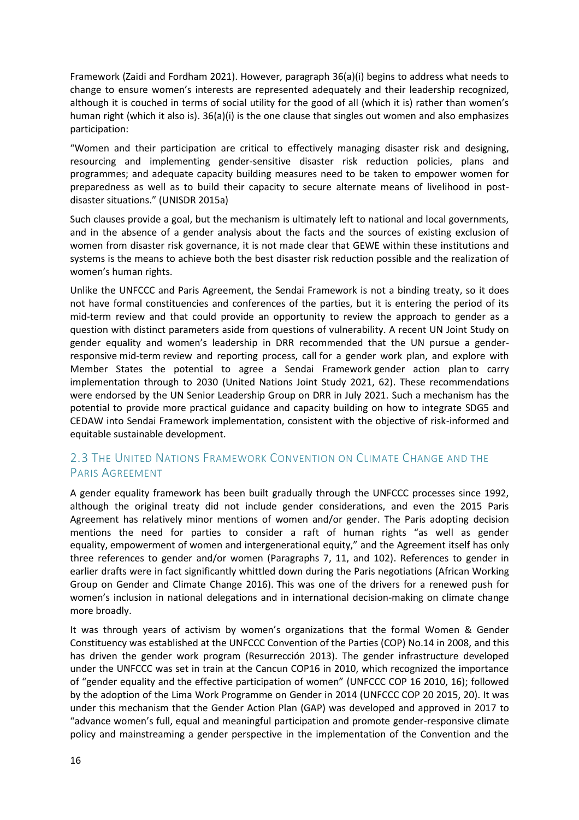Framework (Zaidi and Fordham 2021). However, paragraph 36(a)(i) begins to address what needs to change to ensure women's interests are represented adequately and their leadership recognized, although it is couched in terms of social utility for the good of all (which it is) rather than women's human right (which it also is). 36(a)(i) is the one clause that singles out women and also emphasizes participation:

"Women and their participation are critical to effectively managing disaster risk and designing, resourcing and implementing gender-sensitive disaster risk reduction policies, plans and programmes; and adequate capacity building measures need to be taken to empower women for preparedness as well as to build their capacity to secure alternate means of livelihood in postdisaster situations." (UNISDR 2015a)

Such clauses provide a goal, but the mechanism is ultimately left to national and local governments, and in the absence of a gender analysis about the facts and the sources of existing exclusion of women from disaster risk governance, it is not made clear that GEWE within these institutions and systems is the means to achieve both the best disaster risk reduction possible and the realization of women's human rights.

Unlike the UNFCCC and Paris Agreement, the Sendai Framework is not a binding treaty, so it does not have formal constituencies and conferences of the parties, but it is entering the period of its mid-term review and that could provide an opportunity to review the approach to gender as a question with distinct parameters aside from questions of vulnerability. A recent UN Joint Study on gender equality and women's leadership in DRR recommended that the UN pursue a genderresponsive mid-term review and reporting process, call for a gender work plan, and explore with Member States the potential to agree a Sendai Framework gender action plan to carry implementation through to 2030 (United Nations Joint Study 2021, 62). These recommendations were endorsed by the UN Senior Leadership Group on DRR in July 2021. Such a mechanism has the potential to provide more practical guidance and capacity building on how to integrate SDG5 and CEDAW into Sendai Framework implementation, consistent with the objective of risk-informed and equitable sustainable development.

## <span id="page-15-0"></span>2.3 THE UNITED NATIONS FRAMEWORK CONVENTION ON CLIMATE CHANGE AND THE PARIS AGREEMENT

A gender equality framework has been built gradually through the UNFCCC processes since 1992, although the original treaty did not include gender considerations, and even the 2015 Paris Agreement has relatively minor mentions of women and/or gender. The Paris adopting decision mentions the need for parties to consider a raft of human rights "as well as gender equality, empowerment of women and intergenerational equity," and the Agreement itself has only three references to gender and/or women (Paragraphs 7, 11, and 102). References to gender in earlier drafts were in fact significantly whittled down during the Paris negotiations (African Working Group on Gender and Climate Change 2016). This was one of the drivers for a renewed push for women's inclusion in national delegations and in international decision-making on climate change more broadly.

It was through years of activism by women's organizations that the formal Women & Gender Constituency was established at the UNFCCC Convention of the Parties (COP) No.14 in 2008, and this has driven the gender work program (Resurrección 2013). The gender infrastructure developed under the UNFCCC was set in train at the Cancun COP16 in 2010, which recognized the importance of "gender equality and the effective participation of women" (UNFCCC COP 16 2010, 16); followed by the adoption of the Lima Work Programme on Gender in 2014 (UNFCCC COP 20 2015, 20). It was under this mechanism that the Gender Action Plan (GAP) was developed and approved in 2017 to "advance women's full, equal and meaningful participation and promote gender-responsive climate policy and mainstreaming a gender perspective in the implementation of the Convention and the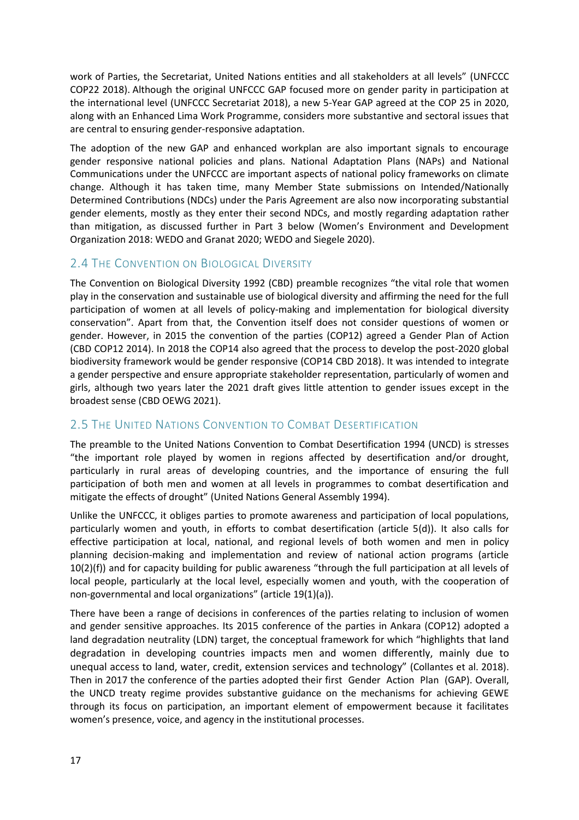work of Parties, the Secretariat, United Nations entities and all stakeholders at all levels" (UNFCCC COP22 2018). Although the original UNFCCC GAP focused more on gender parity in participation at the international level (UNFCCC Secretariat 2018), a new 5-Year GAP agreed at the COP 25 in 2020, along with an Enhanced Lima Work Programme, considers more substantive and sectoral issues that are central to ensuring gender-responsive adaptation.

The adoption of the new GAP and enhanced workplan are also important signals to encourage gender responsive national policies and plans. National Adaptation Plans (NAPs) and National Communications under the UNFCCC are important aspects of national policy frameworks on climate change. Although it has taken time, many Member State submissions on Intended/Nationally Determined Contributions (NDCs) under the Paris Agreement are also now incorporating substantial gender elements, mostly as they enter their second NDCs, and mostly regarding adaptation rather than mitigation, as discussed further in Part 3 below (Women's Environment and Development Organization 2018: WEDO and Granat 2020; WEDO and Siegele 2020).

## <span id="page-16-0"></span>2.4 THE CONVENTION ON BIOLOGICAL DIVERSITY

The Convention on Biological Diversity 1992 (CBD) preamble recognizes "the vital role that women play in the conservation and sustainable use of biological diversity and affirming the need for the full participation of women at all levels of policy-making and implementation for biological diversity conservation". Apart from that, the Convention itself does not consider questions of women or gender. However, in 2015 the convention of the parties (COP12) agreed a Gender Plan of Action (CBD COP12 2014). In 2018 the COP14 also agreed that the process to develop the post-2020 global biodiversity framework would be gender responsive (COP14 CBD 2018). It was intended to integrate a gender perspective and ensure appropriate stakeholder representation, particularly of women and girls, although two years later the 2021 draft gives little attention to gender issues except in the broadest sense (CBD OEWG 2021).

## <span id="page-16-1"></span>2.5 THE UNITED NATIONS CONVENTION TO COMBAT DESERTIFICATION

The preamble to the United Nations Convention to Combat Desertification 1994 (UNCD) is stresses "the important role played by women in regions affected by desertification and/or drought, particularly in rural areas of developing countries, and the importance of ensuring the full participation of both men and women at all levels in programmes to combat desertification and mitigate the effects of drought" (United Nations General Assembly 1994).

Unlike the UNFCCC, it obliges parties to promote awareness and participation of local populations, particularly women and youth, in efforts to combat desertification (article 5(d)). It also calls for effective participation at local, national, and regional levels of both women and men in policy planning decision-making and implementation and review of national action programs (article 10(2)(f)) and for capacity building for public awareness "through the full participation at all levels of local people, particularly at the local level, especially women and youth, with the cooperation of non-governmental and local organizations" (article 19(1)(a)).

There have been a range of decisions in conferences of the parties relating to inclusion of women and gender sensitive approaches. Its 2015 conference of the parties in Ankara (COP12) adopted a land degradation neutrality (LDN) target, the conceptual framework for which "highlights that land degradation in developing countries impacts men and women differently, mainly due to unequal access to land, water, credit, extension services and technology" (Collantes et al. 2018). Then in 2017 the conference of the parties adopted their first Gender Action Plan (GAP). Overall, the UNCD treaty regime provides substantive guidance on the mechanisms for achieving GEWE through its focus on participation, an important element of empowerment because it facilitates women's presence, voice, and agency in the institutional processes.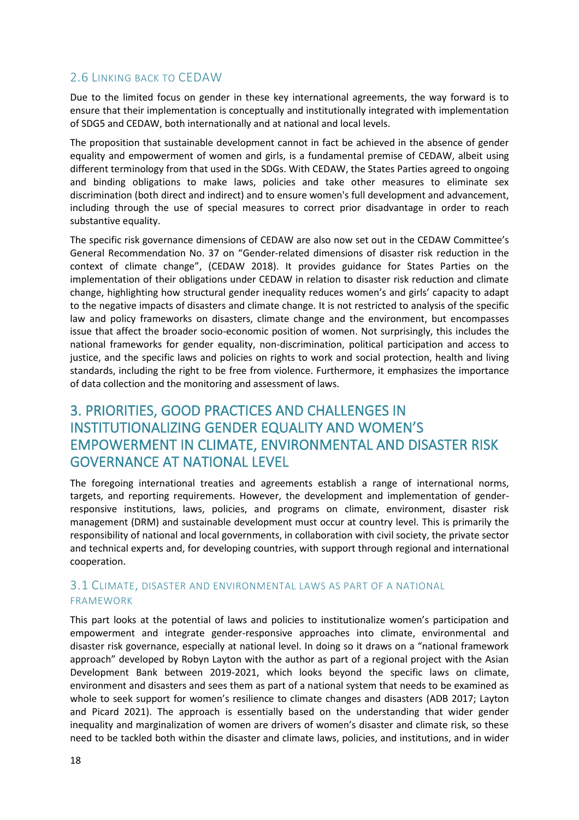## <span id="page-17-0"></span>2.6 LINKING BACK TO CEDAW

Due to the limited focus on gender in these key international agreements, the way forward is to ensure that their implementation is conceptually and institutionally integrated with implementation of SDG5 and CEDAW, both internationally and at national and local levels.

The proposition that sustainable development cannot in fact be achieved in the absence of gender equality and empowerment of women and girls, is a fundamental premise of CEDAW, albeit using different terminology from that used in the SDGs. With CEDAW, the States Parties agreed to ongoing and binding obligations to make laws, policies and take other measures to eliminate sex discrimination (both direct and indirect) and to ensure women's full development and advancement, including through the use of special measures to correct prior disadvantage in order to reach substantive equality.

The specific risk governance dimensions of CEDAW are also now set out in the CEDAW Committee's General Recommendation No. 37 on "Gender-related dimensions of disaster risk reduction in the context of climate change", (CEDAW 2018). It provides guidance for States Parties on the implementation of their obligations under CEDAW in relation to disaster risk reduction and climate change, highlighting how structural gender inequality reduces women's and girls' capacity to adapt to the negative impacts of disasters and climate change. It is not restricted to analysis of the specific law and policy frameworks on disasters, climate change and the environment, but encompasses issue that affect the broader socio-economic position of women. Not surprisingly, this includes the national frameworks for gender equality, non-discrimination, political participation and access to justice, and the specific laws and policies on rights to work and social protection, health and living standards, including the right to be free from violence. Furthermore, it emphasizes the importance of data collection and the monitoring and assessment of laws.

# <span id="page-17-1"></span>3. PRIORITIES, GOOD PRACTICES AND CHALLENGES IN INSTITUTIONALIZING GENDER EQUALITY AND WOMEN'S EMPOWERMENT IN CLIMATE, ENVIRONMENTAL AND DISASTER RISK GOVERNANCE AT NATIONAL LEVEL

The foregoing international treaties and agreements establish a range of international norms, targets, and reporting requirements. However, the development and implementation of genderresponsive institutions, laws, policies, and programs on climate, environment, disaster risk management (DRM) and sustainable development must occur at country level. This is primarily the responsibility of national and local governments, in collaboration with civil society, the private sector and technical experts and, for developing countries, with support through regional and international cooperation.

### <span id="page-17-2"></span>3.1 CLIMATE, DISASTER AND ENVIRONMENTAL LAWS AS PART OF A NATIONAL FRAMEWORK

This part looks at the potential of laws and policies to institutionalize women's participation and empowerment and integrate gender-responsive approaches into climate, environmental and disaster risk governance, especially at national level. In doing so it draws on a "national framework approach" developed by Robyn Layton with the author as part of a regional project with the Asian Development Bank between 2019-2021, which looks beyond the specific laws on climate, environment and disasters and sees them as part of a national system that needs to be examined as whole to seek support for women's resilience to climate changes and disasters (ADB 2017; Layton and Picard 2021). The approach is essentially based on the understanding that wider gender inequality and marginalization of women are drivers of women's disaster and climate risk, so these need to be tackled both within the disaster and climate laws, policies, and institutions, and in wider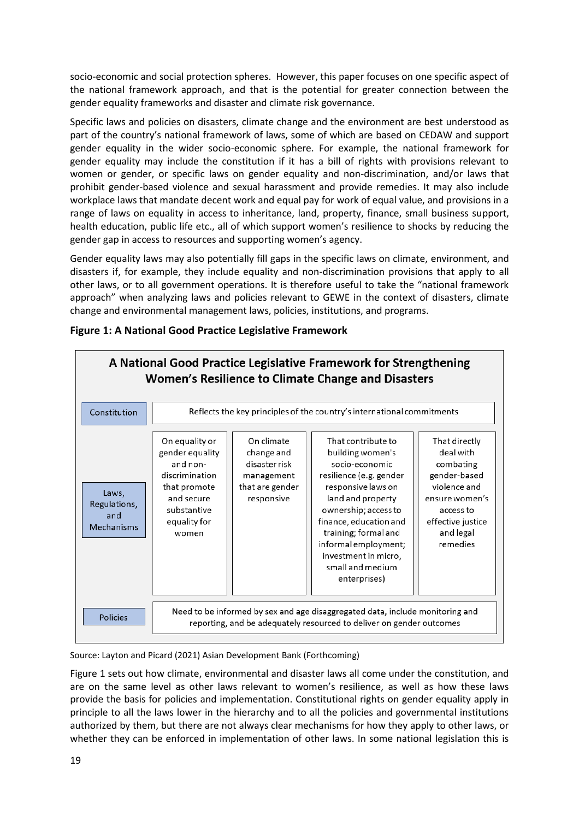socio-economic and social protection spheres. However, this paper focuses on one specific aspect of the national framework approach, and that is the potential for greater connection between the gender equality frameworks and disaster and climate risk governance.

Specific laws and policies on disasters, climate change and the environment are best understood as part of the country's national framework of laws, some of which are based on CEDAW and support gender equality in the wider socio-economic sphere. For example, the national framework for gender equality may include the constitution if it has a bill of rights with provisions relevant to women or gender, or specific laws on gender equality and non-discrimination, and/or laws that prohibit gender-based violence and sexual harassment and provide remedies. It may also include workplace laws that mandate decent work and equal pay for work of equal value, and provisions in a range of laws on equality in access to inheritance, land, property, finance, small business support, health education, public life etc., all of which support women's resilience to shocks by reducing the gender gap in access to resources and supporting women's agency.

Gender equality laws may also potentially fill gaps in the specific laws on climate, environment, and disasters if, for example, they include equality and non-discrimination provisions that apply to all other laws, or to all government operations. It is therefore useful to take the "national framework approach" when analyzing laws and policies relevant to GEWE in the context of disasters, climate change and environmental management laws, policies, institutions, and programs.



**Figure 1: A National Good Practice Legislative Framework**

Source: Layton and Picard (2021) Asian Development Bank (Forthcoming)

Figure 1 sets out how climate, environmental and disaster laws all come under the constitution, and are on the same level as other laws relevant to women's resilience, as well as how these laws provide the basis for policies and implementation. Constitutional rights on gender equality apply in principle to all the laws lower in the hierarchy and to all the policies and governmental institutions authorized by them, but there are not always clear mechanisms for how they apply to other laws, or whether they can be enforced in implementation of other laws. In some national legislation this is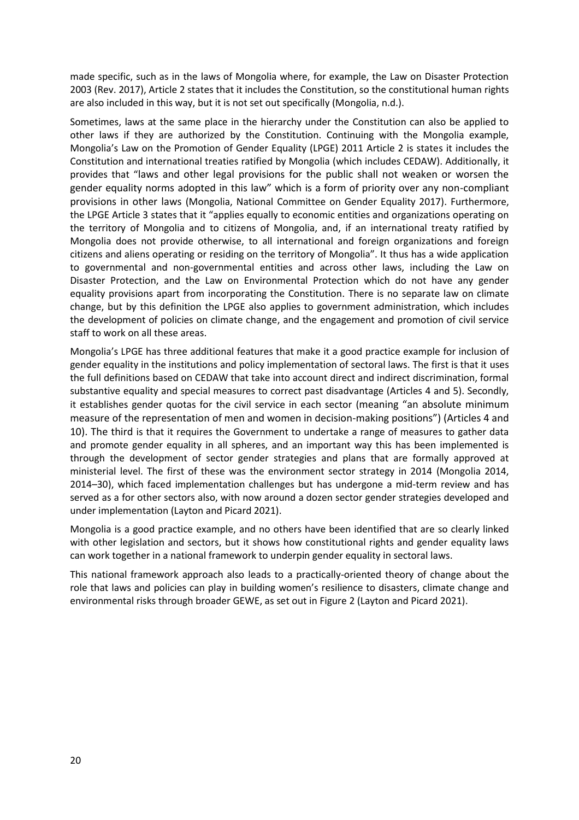made specific, such as in the laws of Mongolia where, for example, the Law on Disaster Protection 2003 (Rev. 2017), Article 2 states that it includes the Constitution, so the constitutional human rights are also included in this way, but it is not set out specifically (Mongolia, n.d.).

Sometimes, laws at the same place in the hierarchy under the Constitution can also be applied to other laws if they are authorized by the Constitution. Continuing with the Mongolia example, Mongolia's Law on the Promotion of Gender Equality (LPGE) 2011 Article 2 is states it includes the Constitution and international treaties ratified by Mongolia (which includes CEDAW). Additionally, it provides that "laws and other legal provisions for the public shall not weaken or worsen the gender equality norms adopted in this law" which is a form of priority over any non-compliant provisions in other laws (Mongolia, National Committee on Gender Equality 2017). Furthermore, the LPGE Article 3 states that it "applies equally to economic entities and organizations operating on the territory of Mongolia and to citizens of Mongolia, and, if an international treaty ratified by Mongolia does not provide otherwise, to all international and foreign organizations and foreign citizens and aliens operating or residing on the territory of Mongolia". It thus has a wide application to governmental and non-governmental entities and across other laws, including the Law on Disaster Protection, and the Law on Environmental Protection which do not have any gender equality provisions apart from incorporating the Constitution. There is no separate law on climate change, but by this definition the LPGE also applies to government administration, which includes the development of policies on climate change, and the engagement and promotion of civil service staff to work on all these areas.

Mongolia's LPGE has three additional features that make it a good practice example for inclusion of gender equality in the institutions and policy implementation of sectoral laws. The first is that it uses the full definitions based on CEDAW that take into account direct and indirect discrimination, formal substantive equality and special measures to correct past disadvantage (Articles 4 and 5). Secondly, it establishes gender quotas for the civil service in each sector (meaning "an absolute minimum measure of the representation of men and women in decision-making positions") (Articles 4 and 10). The third is that it requires the Government to undertake a range of measures to gather data and promote gender equality in all spheres, and an important way this has been implemented is through the development of sector gender strategies and plans that are formally approved at ministerial level. The first of these was the environment sector strategy in 2014 (Mongolia 2014, 2014–30), which faced implementation challenges but has undergone a mid-term review and has served as a for other sectors also, with now around a dozen sector gender strategies developed and under implementation (Layton and Picard 2021).

Mongolia is a good practice example, and no others have been identified that are so clearly linked with other legislation and sectors, but it shows how constitutional rights and gender equality laws can work together in a national framework to underpin gender equality in sectoral laws.

This national framework approach also leads to a practically-oriented theory of change about the role that laws and policies can play in building women's resilience to disasters, climate change and environmental risks through broader GEWE, as set out in Figure 2 (Layton and Picard 2021).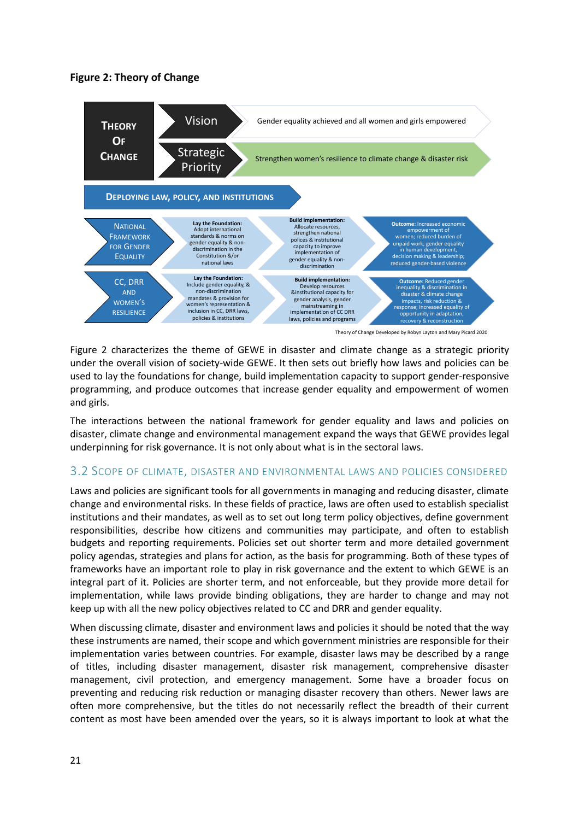#### **Figure 2: Theory of Change**



Figure 2 characterizes the theme of GEWE in disaster and climate change as a strategic priority under the overall vision of society-wide GEWE. It then sets out briefly how laws and policies can be used to lay the foundations for change, build implementation capacity to support gender-responsive programming, and produce outcomes that increase gender equality and empowerment of women and girls.

The interactions between the national framework for gender equality and laws and policies on disaster, climate change and environmental management expand the ways that GEWE provides legal underpinning for risk governance. It is not only about what is in the sectoral laws.

#### <span id="page-20-0"></span>3.2 SCOPE OF CLIMATE, DISASTER AND ENVIRONMENTAL LAWS AND POLICIES CONSIDERED

Laws and policies are significant tools for all governments in managing and reducing disaster, climate change and environmental risks. In these fields of practice, laws are often used to establish specialist institutions and their mandates, as well as to set out long term policy objectives, define government responsibilities, describe how citizens and communities may participate, and often to establish budgets and reporting requirements. Policies set out shorter term and more detailed government policy agendas, strategies and plans for action, as the basis for programming. Both of these types of frameworks have an important role to play in risk governance and the extent to which GEWE is an integral part of it. Policies are shorter term, and not enforceable, but they provide more detail for implementation, while laws provide binding obligations, they are harder to change and may not keep up with all the new policy objectives related to CC and DRR and gender equality.

When discussing climate, disaster and environment laws and policies it should be noted that the way these instruments are named, their scope and which government ministries are responsible for their implementation varies between countries. For example, disaster laws may be described by a range of titles, including disaster management, disaster risk management, comprehensive disaster management, civil protection, and emergency management. Some have a broader focus on preventing and reducing risk reduction or managing disaster recovery than others. Newer laws are often more comprehensive, but the titles do not necessarily reflect the breadth of their current content as most have been amended over the years, so it is always important to look at what the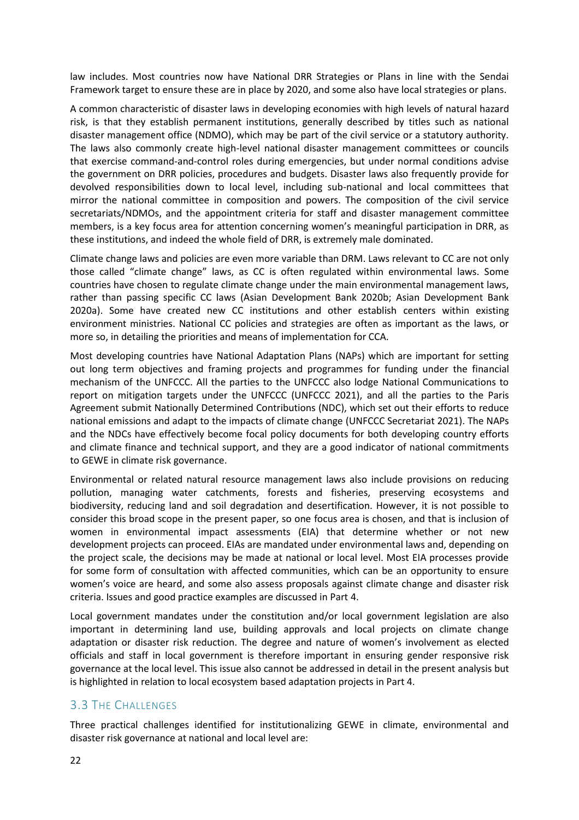law includes. Most countries now have National DRR Strategies or Plans in line with the Sendai Framework target to ensure these are in place by 2020, and some also have local strategies or plans.

A common characteristic of disaster laws in developing economies with high levels of natural hazard risk, is that they establish permanent institutions, generally described by titles such as national disaster management office (NDMO), which may be part of the civil service or a statutory authority. The laws also commonly create high-level national disaster management committees or councils that exercise command-and-control roles during emergencies, but under normal conditions advise the government on DRR policies, procedures and budgets. Disaster laws also frequently provide for devolved responsibilities down to local level, including sub-national and local committees that mirror the national committee in composition and powers. The composition of the civil service secretariats/NDMOs, and the appointment criteria for staff and disaster management committee members, is a key focus area for attention concerning women's meaningful participation in DRR, as these institutions, and indeed the whole field of DRR, is extremely male dominated.

Climate change laws and policies are even more variable than DRM. Laws relevant to CC are not only those called "climate change" laws, as CC is often regulated within environmental laws. Some countries have chosen to regulate climate change under the main environmental management laws, rather than passing specific CC laws (Asian Development Bank 2020b; Asian Development Bank 2020a). Some have created new CC institutions and other establish centers within existing environment ministries. National CC policies and strategies are often as important as the laws, or more so, in detailing the priorities and means of implementation for CCA.

Most developing countries have National Adaptation Plans (NAPs) which are important for setting out long term objectives and framing projects and programmes for funding under the financial mechanism of the UNFCCC. All the parties to the UNFCCC also lodge National Communications to report on mitigation targets under the UNFCCC (UNFCCC 2021), and all the parties to the Paris Agreement submit Nationally Determined Contributions (NDC), which set out their efforts to reduce national emissions and adapt to the impacts of climate change (UNFCCC Secretariat 2021). The NAPs and the NDCs have effectively become focal policy documents for both developing country efforts and climate finance and technical support, and they are a good indicator of national commitments to GEWE in climate risk governance.

Environmental or related natural resource management laws also include provisions on reducing pollution, managing water catchments, forests and fisheries, preserving ecosystems and biodiversity, reducing land and soil degradation and desertification. However, it is not possible to consider this broad scope in the present paper, so one focus area is chosen, and that is inclusion of women in environmental impact assessments (EIA) that determine whether or not new development projects can proceed. EIAs are mandated under environmental laws and, depending on the project scale, the decisions may be made at national or local level. Most EIA processes provide for some form of consultation with affected communities, which can be an opportunity to ensure women's voice are heard, and some also assess proposals against climate change and disaster risk criteria. Issues and good practice examples are discussed in Part 4.

Local government mandates under the constitution and/or local government legislation are also important in determining land use, building approvals and local projects on climate change adaptation or disaster risk reduction. The degree and nature of women's involvement as elected officials and staff in local government is therefore important in ensuring gender responsive risk governance at the local level. This issue also cannot be addressed in detail in the present analysis but is highlighted in relation to local ecosystem based adaptation projects in Part 4.

#### <span id="page-21-0"></span>3.3 THE CHALLENGES

Three practical challenges identified for institutionalizing GEWE in climate, environmental and disaster risk governance at national and local level are: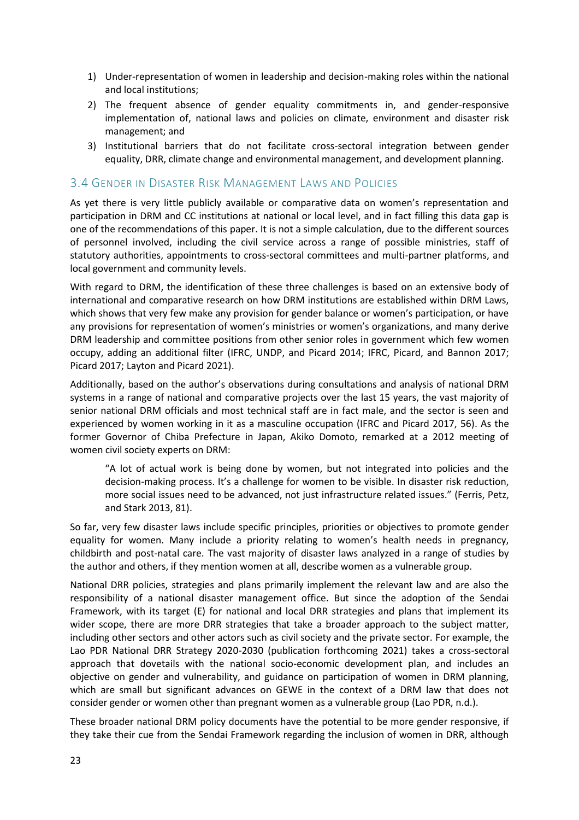- 1) Under-representation of women in leadership and decision-making roles within the national and local institutions;
- 2) The frequent absence of gender equality commitments in, and gender-responsive implementation of, national laws and policies on climate, environment and disaster risk management; and
- 3) Institutional barriers that do not facilitate cross-sectoral integration between gender equality, DRR, climate change and environmental management, and development planning.

#### <span id="page-22-0"></span>3.4 GENDER IN DISASTER RISK MANAGEMENT LAWS AND POLICIES

As yet there is very little publicly available or comparative data on women's representation and participation in DRM and CC institutions at national or local level, and in fact filling this data gap is one of the recommendations of this paper. It is not a simple calculation, due to the different sources of personnel involved, including the civil service across a range of possible ministries, staff of statutory authorities, appointments to cross-sectoral committees and multi-partner platforms, and local government and community levels.

With regard to DRM, the identification of these three challenges is based on an extensive body of international and comparative research on how DRM institutions are established within DRM Laws, which shows that very few make any provision for gender balance or women's participation, or have any provisions for representation of women's ministries or women's organizations, and many derive DRM leadership and committee positions from other senior roles in government which few women occupy, adding an additional filter (IFRC, UNDP, and Picard 2014; IFRC, Picard, and Bannon 2017; Picard 2017; Layton and Picard 2021).

Additionally, based on the author's observations during consultations and analysis of national DRM systems in a range of national and comparative projects over the last 15 years, the vast majority of senior national DRM officials and most technical staff are in fact male, and the sector is seen and experienced by women working in it as a masculine occupation (IFRC and Picard 2017, 56). As the former Governor of Chiba Prefecture in Japan, Akiko Domoto, remarked at a 2012 meeting of women civil society experts on DRM:

"A lot of actual work is being done by women, but not integrated into policies and the decision-making process. It's a challenge for women to be visible. In disaster risk reduction, more social issues need to be advanced, not just infrastructure related issues." (Ferris, Petz, and Stark 2013, 81).

So far, very few disaster laws include specific principles, priorities or objectives to promote gender equality for women. Many include a priority relating to women's health needs in pregnancy, childbirth and post-natal care. The vast majority of disaster laws analyzed in a range of studies by the author and others, if they mention women at all, describe women as a vulnerable group.

National DRR policies, strategies and plans primarily implement the relevant law and are also the responsibility of a national disaster management office. But since the adoption of the Sendai Framework, with its target (E) for national and local DRR strategies and plans that implement its wider scope, there are more DRR strategies that take a broader approach to the subject matter, including other sectors and other actors such as civil society and the private sector. For example, the Lao PDR National DRR Strategy 2020-2030 (publication forthcoming 2021) takes a cross-sectoral approach that dovetails with the national socio-economic development plan, and includes an objective on gender and vulnerability, and guidance on participation of women in DRM planning, which are small but significant advances on GEWE in the context of a DRM law that does not consider gender or women other than pregnant women as a vulnerable group (Lao PDR, n.d.).

These broader national DRM policy documents have the potential to be more gender responsive, if they take their cue from the Sendai Framework regarding the inclusion of women in DRR, although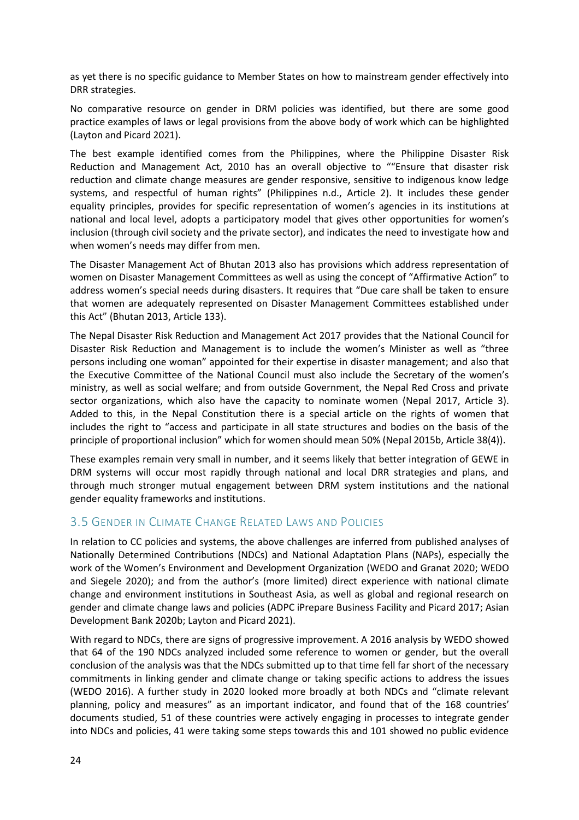as yet there is no specific guidance to Member States on how to mainstream gender effectively into DRR strategies.

No comparative resource on gender in DRM policies was identified, but there are some good practice examples of laws or legal provisions from the above body of work which can be highlighted (Layton and Picard 2021).

The best example identified comes from the Philippines, where the Philippine Disaster Risk Reduction and Management Act, 2010 has an overall objective to ""Ensure that disaster risk reduction and climate change measures are gender responsive, sensitive to indigenous know ledge systems, and respectful of human rights" (Philippines n.d., Article 2). It includes these gender equality principles, provides for specific representation of women's agencies in its institutions at national and local level, adopts a participatory model that gives other opportunities for women's inclusion (through civil society and the private sector), and indicates the need to investigate how and when women's needs may differ from men.

The Disaster Management Act of Bhutan 2013 also has provisions which address representation of women on Disaster Management Committees as well as using the concept of "Affirmative Action" to address women's special needs during disasters. It requires that "Due care shall be taken to ensure that women are adequately represented on Disaster Management Committees established under this Act" (Bhutan 2013, Article 133).

The Nepal Disaster Risk Reduction and Management Act 2017 provides that the National Council for Disaster Risk Reduction and Management is to include the women's Minister as well as "three persons including one woman" appointed for their expertise in disaster management; and also that the Executive Committee of the National Council must also include the Secretary of the women's ministry, as well as social welfare; and from outside Government, the Nepal Red Cross and private sector organizations, which also have the capacity to nominate women (Nepal 2017, Article 3). Added to this, in the Nepal Constitution there is a special article on the rights of women that includes the right to "access and participate in all state structures and bodies on the basis of the principle of proportional inclusion" which for women should mean 50% (Nepal 2015b, Article 38(4)).

These examples remain very small in number, and it seems likely that better integration of GEWE in DRM systems will occur most rapidly through national and local DRR strategies and plans, and through much stronger mutual engagement between DRM system institutions and the national gender equality frameworks and institutions.

#### <span id="page-23-0"></span>**3.5 GENDER IN CLIMATE CHANGE RELATED LAWS AND POLICIES**

In relation to CC policies and systems, the above challenges are inferred from published analyses of Nationally Determined Contributions (NDCs) and National Adaptation Plans (NAPs), especially the work of the Women's Environment and Development Organization (WEDO and Granat 2020; WEDO and Siegele 2020); and from the author's (more limited) direct experience with national climate change and environment institutions in Southeast Asia, as well as global and regional research on gender and climate change laws and policies (ADPC iPrepare Business Facility and Picard 2017; Asian Development Bank 2020b; Layton and Picard 2021).

With regard to NDCs, there are signs of progressive improvement. A 2016 analysis by WEDO showed that 64 of the 190 NDCs analyzed included some reference to women or gender, but the overall conclusion of the analysis was that the NDCs submitted up to that time fell far short of the necessary commitments in linking gender and climate change or taking specific actions to address the issues (WEDO 2016). A further study in 2020 looked more broadly at both NDCs and "climate relevant planning, policy and measures" as an important indicator, and found that of the 168 countries' documents studied, 51 of these countries were actively engaging in processes to integrate gender into NDCs and policies, 41 were taking some steps towards this and 101 showed no public evidence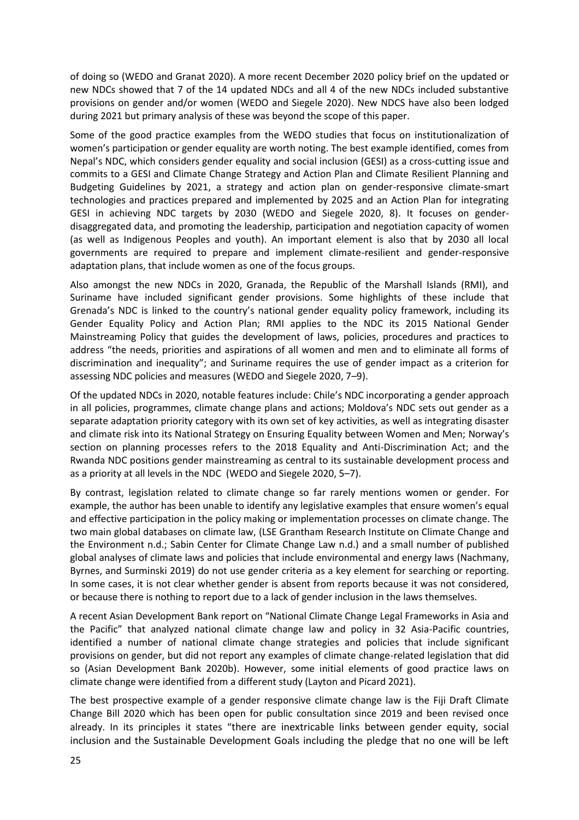of doing so (WEDO and Granat 2020). A more recent December 2020 policy brief on the updated or new NDCs showed that 7 of the 14 updated NDCs and all 4 of the new NDCs included substantive provisions on gender and/or women (WEDO and Siegele 2020). New NDCS have also been lodged during 2021 but primary analysis of these was beyond the scope of this paper.

Some of the good practice examples from the WEDO studies that focus on institutionalization of women's participation or gender equality are worth noting. The best example identified, comes from Nepal's NDC, which considers gender equality and social inclusion (GESI) as a cross-cutting issue and commits to a GESI and Climate Change Strategy and Action Plan and Climate Resilient Planning and Budgeting Guidelines by 2021, a strategy and action plan on gender-responsive climate-smart technologies and practices prepared and implemented by 2025 and an Action Plan for integrating GESI in achieving NDC targets by 2030 (WEDO and Siegele 2020, 8). It focuses on genderdisaggregated data, and promoting the leadership, participation and negotiation capacity of women (as well as Indigenous Peoples and youth). An important element is also that by 2030 all local governments are required to prepare and implement climate-resilient and gender-responsive adaptation plans, that include women as one of the focus groups.

Also amongst the new NDCs in 2020, Granada, the Republic of the Marshall Islands (RMI), and Suriname have included significant gender provisions. Some highlights of these include that Grenada's NDC is linked to the country's national gender equality policy framework, including its Gender Equality Policy and Action Plan; RMI applies to the NDC its 2015 National Gender Mainstreaming Policy that guides the development of laws, policies, procedures and practices to address "the needs, priorities and aspirations of all women and men and to eliminate all forms of discrimination and inequality"; and Suriname requires the use of gender impact as a criterion for assessing NDC policies and measures (WEDO and Siegele 2020, 7–9).

Of the updated NDCs in 2020, notable features include: Chile's NDC incorporating a gender approach in all policies, programmes, climate change plans and actions; Moldova's NDC sets out gender as a separate adaptation priority category with its own set of key activities, as well as integrating disaster and climate risk into its National Strategy on Ensuring Equality between Women and Men; Norway's section on planning processes refers to the 2018 Equality and Anti-Discrimination Act; and the Rwanda NDC positions gender mainstreaming as central to its sustainable development process and as a priority at all levels in the NDC (WEDO and Siegele 2020, 5–7).

By contrast, legislation related to climate change so far rarely mentions women or gender. For example, the author has been unable to identify any legislative examples that ensure women's equal and effective participation in the policy making or implementation processes on climate change. The two main global databases on climate law, (LSE Grantham Research Institute on Climate Change and the Environment n.d.; Sabin Center for Climate Change Law n.d.) and a small number of published global analyses of climate laws and policies that include environmental and energy laws (Nachmany, Byrnes, and Surminski 2019) do not use gender criteria as a key element for searching or reporting. In some cases, it is not clear whether gender is absent from reports because it was not considered, or because there is nothing to report due to a lack of gender inclusion in the laws themselves.

A recent Asian Development Bank report on "National Climate Change Legal Frameworks in Asia and the Pacific" that analyzed national climate change law and policy in 32 Asia-Pacific countries, identified a number of national climate change strategies and policies that include significant provisions on gender, but did not report any examples of climate change-related legislation that did so (Asian Development Bank 2020b). However, some initial elements of good practice laws on climate change were identified from a different study (Layton and Picard 2021).

The best prospective example of a gender responsive climate change law is the Fiji Draft Climate Change Bill 2020 which has been open for public consultation since 2019 and been revised once already. In its principles it states "there are inextricable links between gender equity, social inclusion and the Sustainable Development Goals including the pledge that no one will be left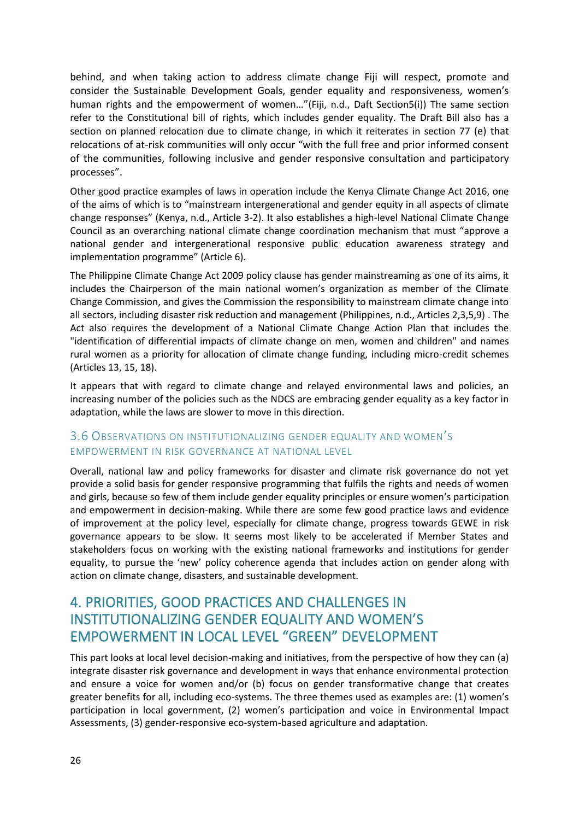behind, and when taking action to address climate change Fiji will respect, promote and consider the Sustainable Development Goals, gender equality and responsiveness, women's human rights and the empowerment of women…"(Fiji, n.d., Daft Section5(i)) The same section refer to the Constitutional bill of rights, which includes gender equality. The Draft Bill also has a section on planned relocation due to climate change, in which it reiterates in section 77 (e) that relocations of at-risk communities will only occur "with the full free and prior informed consent of the communities, following inclusive and gender responsive consultation and participatory processes".

Other good practice examples of laws in operation include the Kenya Climate Change Act 2016, one of the aims of which is to "mainstream intergenerational and gender equity in all aspects of climate change responses" (Kenya, n.d., Article 3-2). It also establishes a high-level National Climate Change Council as an overarching national climate change coordination mechanism that must "approve a national gender and intergenerational responsive public education awareness strategy and implementation programme" (Article 6).

The Philippine Climate Change Act 2009 policy clause has gender mainstreaming as one of its aims, it includes the Chairperson of the main national women's organization as member of the Climate Change Commission, and gives the Commission the responsibility to mainstream climate change into all sectors, including disaster risk reduction and management (Philippines, n.d., Articles 2,3,5,9) . The Act also requires the development of a National Climate Change Action Plan that includes the "identification of differential impacts of climate change on men, women and children" and names rural women as a priority for allocation of climate change funding, including micro-credit schemes (Articles 13, 15, 18).

It appears that with regard to climate change and relayed environmental laws and policies, an increasing number of the policies such as the NDCS are embracing gender equality as a key factor in adaptation, while the laws are slower to move in this direction.

#### <span id="page-25-0"></span>3.6 OBSERVATIONS ON INSTITUTIONALIZING GENDER EQUALITY AND WOMEN'S EMPOWERMENT IN RISK GOVERNANCE AT NATIONAL LEVEL

Overall, national law and policy frameworks for disaster and climate risk governance do not yet provide a solid basis for gender responsive programming that fulfils the rights and needs of women and girls, because so few of them include gender equality principles or ensure women's participation and empowerment in decision-making. While there are some few good practice laws and evidence of improvement at the policy level, especially for climate change, progress towards GEWE in risk governance appears to be slow. It seems most likely to be accelerated if Member States and stakeholders focus on working with the existing national frameworks and institutions for gender equality, to pursue the 'new' policy coherence agenda that includes action on gender along with action on climate change, disasters, and sustainable development.

# <span id="page-25-1"></span>4. PRIORITIES, GOOD PRACTICES AND CHALLENGES IN INSTITUTIONALIZING GENDER EQUALITY AND WOMEN'S EMPOWERMENT IN LOCAL LEVEL "GREEN" DEVELOPMENT

This part looks at local level decision-making and initiatives, from the perspective of how they can (a) integrate disaster risk governance and development in ways that enhance environmental protection and ensure a voice for women and/or (b) focus on gender transformative change that creates greater benefits for all, including eco-systems. The three themes used as examples are: (1) women's participation in local government, (2) women's participation and voice in Environmental Impact Assessments, (3) gender-responsive eco-system-based agriculture and adaptation.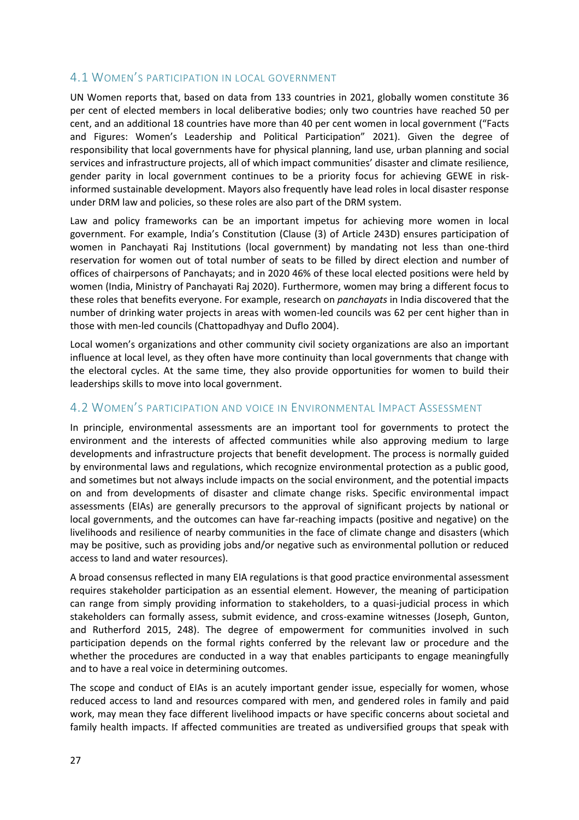### <span id="page-26-0"></span>4.1 WOMEN'S PARTICIPATION IN LOCAL GOVERNMENT

UN Women reports that, based on data from 133 countries in 2021, globally women constitute 36 per cent of elected members in local deliberative bodies; only two countries have reached 50 per cent, and an additional 18 countries have more than 40 per cent women in local government ("Facts and Figures: Women's Leadership and Political Participation" 2021). Given the degree of responsibility that local governments have for physical planning, land use, urban planning and social services and infrastructure projects, all of which impact communities' disaster and climate resilience, gender parity in local government continues to be a priority focus for achieving GEWE in riskinformed sustainable development. Mayors also frequently have lead roles in local disaster response under DRM law and policies, so these roles are also part of the DRM system.

Law and policy frameworks can be an important impetus for achieving more women in local government. For example, India's Constitution (Clause (3) of Article 243D) ensures participation of women in Panchayati Raj Institutions (local government) by mandating not less than one-third reservation for women out of total number of seats to be filled by direct election and number of offices of chairpersons of Panchayats; and in 2020 46% of these local elected positions were held by women (India, Ministry of Panchayati Raj 2020). Furthermore, women may bring a different focus to these roles that benefits everyone. For example, research on *panchayats* in India discovered that the number of drinking water projects in areas with women-led councils was 62 per cent higher than in those with men-led councils (Chattopadhyay and Duflo 2004).

Local women's organizations and other community civil society organizations are also an important influence at local level, as they often have more continuity than local governments that change with the electoral cycles. At the same time, they also provide opportunities for women to build their leaderships skills to move into local government.

#### <span id="page-26-1"></span>4.2 WOMEN'S PARTICIPATION AND VOICE IN ENVIRONMENTAL IMPACT ASSESSMENT

In principle, environmental assessments are an important tool for governments to protect the environment and the interests of affected communities while also approving medium to large developments and infrastructure projects that benefit development. The process is normally guided by environmental laws and regulations, which recognize environmental protection as a public good, and sometimes but not always include impacts on the social environment, and the potential impacts on and from developments of disaster and climate change risks. Specific environmental impact assessments (EIAs) are generally precursors to the approval of significant projects by national or local governments, and the outcomes can have far-reaching impacts (positive and negative) on the livelihoods and resilience of nearby communities in the face of climate change and disasters (which may be positive, such as providing jobs and/or negative such as environmental pollution or reduced access to land and water resources).

A broad consensus reflected in many EIA regulations is that good practice environmental assessment requires stakeholder participation as an essential element. However, the meaning of participation can range from simply providing information to stakeholders, to a quasi-judicial process in which stakeholders can formally assess, submit evidence, and cross-examine witnesses (Joseph, Gunton, and Rutherford 2015, 248). The degree of empowerment for communities involved in such participation depends on the formal rights conferred by the relevant law or procedure and the whether the procedures are conducted in a way that enables participants to engage meaningfully and to have a real voice in determining outcomes.

The scope and conduct of EIAs is an acutely important gender issue, especially for women, whose reduced access to land and resources compared with men, and gendered roles in family and paid work, may mean they face different livelihood impacts or have specific concerns about societal and family health impacts. If affected communities are treated as undiversified groups that speak with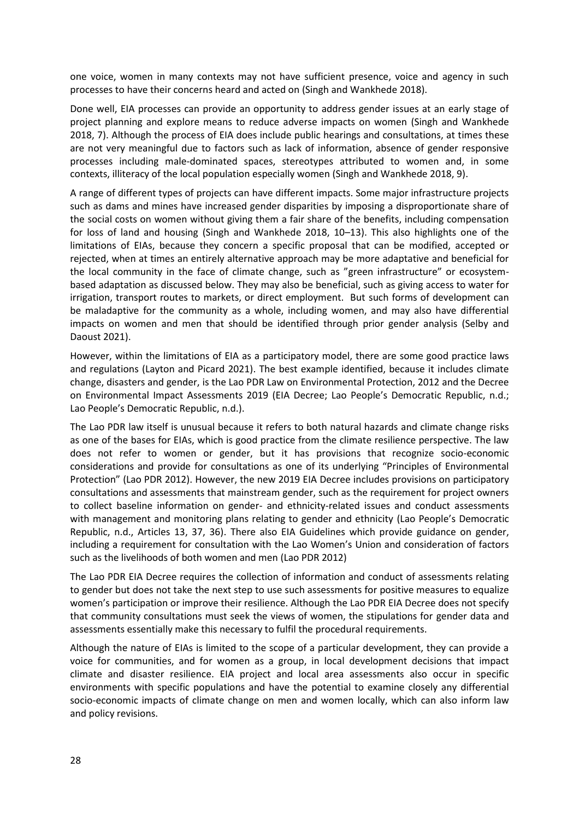one voice, women in many contexts may not have sufficient presence, voice and agency in such processes to have their concerns heard and acted on (Singh and Wankhede 2018).

Done well, EIA processes can provide an opportunity to address gender issues at an early stage of project planning and explore means to reduce adverse impacts on women (Singh and Wankhede 2018, 7). Although the process of EIA does include public hearings and consultations, at times these are not very meaningful due to factors such as lack of information, absence of gender responsive processes including male-dominated spaces, stereotypes attributed to women and, in some contexts, illiteracy of the local population especially women (Singh and Wankhede 2018, 9).

A range of different types of projects can have different impacts. Some major infrastructure projects such as dams and mines have increased gender disparities by imposing a disproportionate share of the social costs on women without giving them a fair share of the benefits, including compensation for loss of land and housing (Singh and Wankhede 2018, 10–13). This also highlights one of the limitations of EIAs, because they concern a specific proposal that can be modified, accepted or rejected, when at times an entirely alternative approach may be more adaptative and beneficial for the local community in the face of climate change, such as "green infrastructure" or ecosystembased adaptation as discussed below. They may also be beneficial, such as giving access to water for irrigation, transport routes to markets, or direct employment. But such forms of development can be maladaptive for the community as a whole, including women, and may also have differential impacts on women and men that should be identified through prior gender analysis (Selby and Daoust 2021).

However, within the limitations of EIA as a participatory model, there are some good practice laws and regulations (Layton and Picard 2021). The best example identified, because it includes climate change, disasters and gender, is the Lao PDR Law on Environmental Protection, 2012 and the Decree on Environmental Impact Assessments 2019 (EIA Decree; Lao People's Democratic Republic, n.d.; Lao People's Democratic Republic, n.d.).

The Lao PDR law itself is unusual because it refers to both natural hazards and climate change risks as one of the bases for EIAs, which is good practice from the climate resilience perspective. The law does not refer to women or gender, but it has provisions that recognize socio-economic considerations and provide for consultations as one of its underlying "Principles of Environmental Protection" (Lao PDR 2012). However, the new 2019 EIA Decree includes provisions on participatory consultations and assessments that mainstream gender, such as the requirement for project owners to collect baseline information on gender- and ethnicity-related issues and conduct assessments with management and monitoring plans relating to gender and ethnicity (Lao People's Democratic Republic, n.d., Articles 13, 37, 36). There also EIA Guidelines which provide guidance on gender, including a requirement for consultation with the Lao Women's Union and consideration of factors such as the livelihoods of both women and men (Lao PDR 2012)

The Lao PDR EIA Decree requires the collection of information and conduct of assessments relating to gender but does not take the next step to use such assessments for positive measures to equalize women's participation or improve their resilience. Although the Lao PDR EIA Decree does not specify that community consultations must seek the views of women, the stipulations for gender data and assessments essentially make this necessary to fulfil the procedural requirements.

Although the nature of EIAs is limited to the scope of a particular development, they can provide a voice for communities, and for women as a group, in local development decisions that impact climate and disaster resilience. EIA project and local area assessments also occur in specific environments with specific populations and have the potential to examine closely any differential socio-economic impacts of climate change on men and women locally, which can also inform law and policy revisions.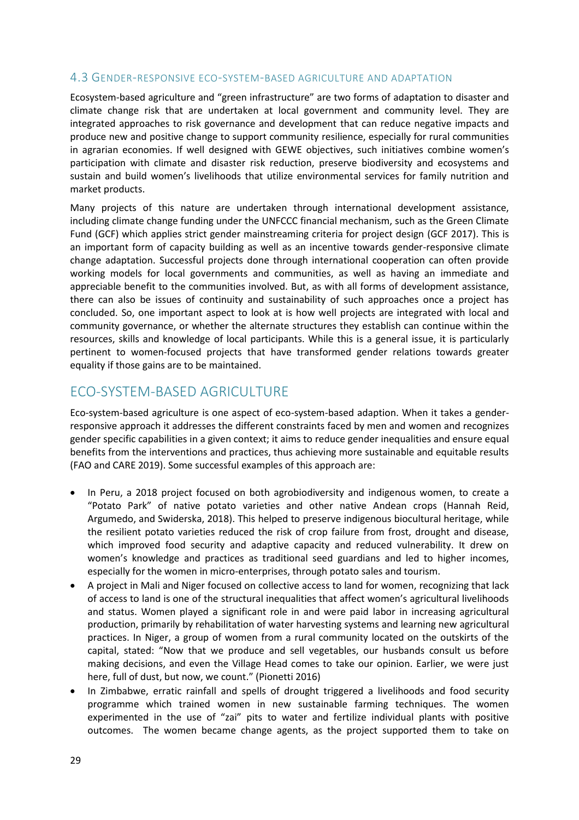#### <span id="page-28-0"></span>4.3 GENDER-RESPONSIVE ECO-SYSTEM-BASED AGRICULTURE AND ADAPTATION

Ecosystem-based agriculture and "green infrastructure" are two forms of adaptation to disaster and climate change risk that are undertaken at local government and community level. They are integrated approaches to risk governance and development that can reduce negative impacts and produce new and positive change to support community resilience, especially for rural communities in agrarian economies. If well designed with GEWE objectives, such initiatives combine women's participation with climate and disaster risk reduction, preserve biodiversity and ecosystems and sustain and build women's livelihoods that utilize environmental services for family nutrition and market products.

Many projects of this nature are undertaken through international development assistance, including climate change funding under the UNFCCC financial mechanism, such as the Green Climate Fund (GCF) which applies strict gender mainstreaming criteria for project design (GCF 2017). This is an important form of capacity building as well as an incentive towards gender-responsive climate change adaptation. Successful projects done through international cooperation can often provide working models for local governments and communities, as well as having an immediate and appreciable benefit to the communities involved. But, as with all forms of development assistance, there can also be issues of continuity and sustainability of such approaches once a project has concluded. So, one important aspect to look at is how well projects are integrated with local and community governance, or whether the alternate structures they establish can continue within the resources, skills and knowledge of local participants. While this is a general issue, it is particularly pertinent to women-focused projects that have transformed gender relations towards greater equality if those gains are to be maintained.

## <span id="page-28-1"></span>FCO-SYSTEM-BASED AGRICULTURE

Eco-system-based agriculture is one aspect of eco-system-based adaption. When it takes a genderresponsive approach it addresses the different constraints faced by men and women and recognizes gender specific capabilities in a given context; it aims to reduce gender inequalities and ensure equal benefits from the interventions and practices, thus achieving more sustainable and equitable results (FAO and CARE 2019). Some successful examples of this approach are:

- In Peru, a 2018 project focused on both agrobiodiversity and indigenous women, to create a "Potato Park" of native potato varieties and other native Andean crops (Hannah Reid, Argumedo, and Swiderska, 2018). This helped to preserve indigenous biocultural heritage, while the resilient potato varieties reduced the risk of crop failure from frost, drought and disease, which improved food security and adaptive capacity and reduced vulnerability. It drew on women's knowledge and practices as traditional seed guardians and led to higher incomes, especially for the women in micro-enterprises, through potato sales and tourism.
- A project in Mali and Niger focused on collective access to land for women, recognizing that lack of access to land is one of the structural inequalities that affect women's agricultural livelihoods and status. Women played a significant role in and were paid labor in increasing agricultural production, primarily by rehabilitation of water harvesting systems and learning new agricultural practices. In Niger, a group of women from a rural community located on the outskirts of the capital, stated: "Now that we produce and sell vegetables, our husbands consult us before making decisions, and even the Village Head comes to take our opinion. Earlier, we were just here, full of dust, but now, we count." (Pionetti 2016)
- In Zimbabwe, erratic rainfall and spells of drought triggered a livelihoods and food security programme which trained women in new sustainable farming techniques. The women experimented in the use of "zai" pits to water and fertilize individual plants with positive outcomes. The women became change agents, as the project supported them to take on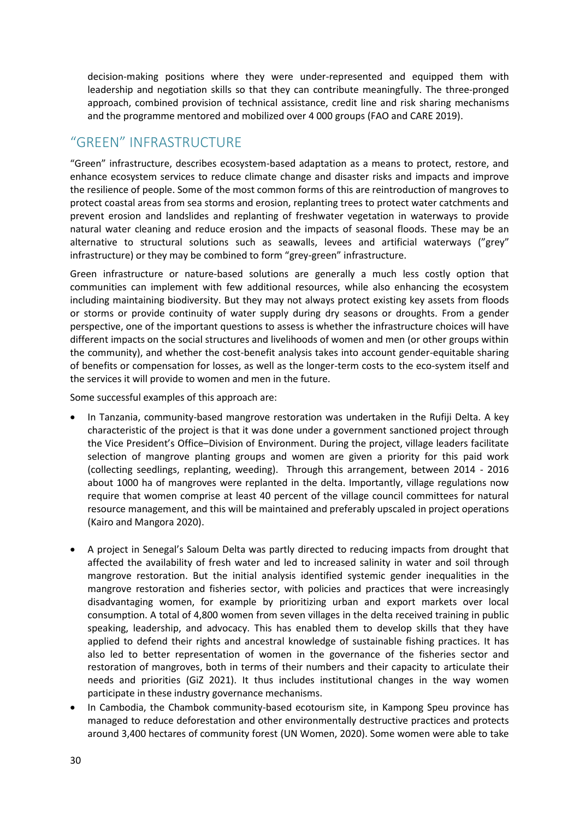decision-making positions where they were under-represented and equipped them with leadership and negotiation skills so that they can contribute meaningfully. The three-pronged approach, combined provision of technical assistance, credit line and risk sharing mechanisms and the programme mentored and mobilized over 4 000 groups (FAO and CARE 2019).

## <span id="page-29-0"></span>"GREEN" INFRASTRUCTURE

"Green" infrastructure, describes ecosystem-based adaptation as a means to protect, restore, and enhance ecosystem services to reduce climate change and disaster risks and impacts and improve the resilience of people. Some of the most common forms of this are reintroduction of mangroves to protect coastal areas from sea storms and erosion, replanting trees to protect water catchments and prevent erosion and landslides and replanting of freshwater vegetation in waterways to provide natural water cleaning and reduce erosion and the impacts of seasonal floods. These may be an alternative to structural solutions such as seawalls, levees and artificial waterways ("grey" infrastructure) or they may be combined to form "grey-green" infrastructure.

Green infrastructure or nature-based solutions are generally a much less costly option that communities can implement with few additional resources, while also enhancing the ecosystem including maintaining biodiversity. But they may not always protect existing key assets from floods or storms or provide continuity of water supply during dry seasons or droughts. From a gender perspective, one of the important questions to assess is whether the infrastructure choices will have different impacts on the social structures and livelihoods of women and men (or other groups within the community), and whether the cost-benefit analysis takes into account gender-equitable sharing of benefits or compensation for losses, as well as the longer-term costs to the eco-system itself and the services it will provide to women and men in the future.

Some successful examples of this approach are:

- In Tanzania, community-based mangrove restoration was undertaken in the Rufiji Delta. A key characteristic of the project is that it was done under a government sanctioned project through the Vice President's Office–Division of Environment. During the project, village leaders facilitate selection of mangrove planting groups and women are given a priority for this paid work (collecting seedlings, replanting, weeding). Through this arrangement, between 2014 - 2016 about 1000 ha of mangroves were replanted in the delta. Importantly, village regulations now require that women comprise at least 40 percent of the village council committees for natural resource management, and this will be maintained and preferably upscaled in project operations (Kairo and Mangora 2020).
- A project in Senegal's Saloum Delta was partly directed to reducing impacts from drought that affected the availability of fresh water and led to increased salinity in water and soil through mangrove restoration. But the initial analysis identified systemic gender inequalities in the mangrove restoration and fisheries sector, with policies and practices that were increasingly disadvantaging women, for example by prioritizing urban and export markets over local consumption. A total of 4,800 women from seven villages in the delta received training in public speaking, leadership, and advocacy. This has enabled them to develop skills that they have applied to defend their rights and ancestral knowledge of sustainable fishing practices. It has also led to better representation of women in the governance of the fisheries sector and restoration of mangroves, both in terms of their numbers and their capacity to articulate their needs and priorities (GiZ 2021). It thus includes institutional changes in the way women participate in these industry governance mechanisms.
- In Cambodia, the Chambok community-based ecotourism site, in Kampong Speu province has managed to reduce deforestation and other environmentally destructive practices and protects around 3,400 hectares of community forest (UN Women, 2020). Some women were able to take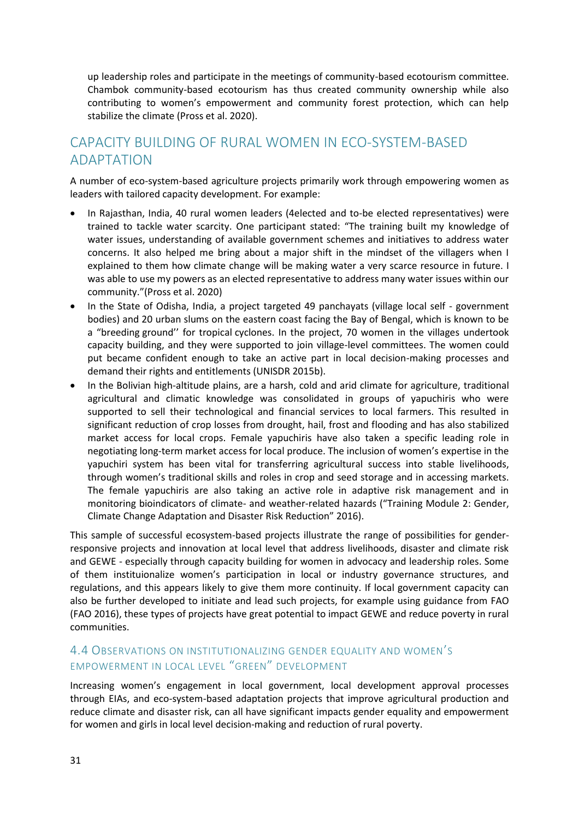up leadership roles and participate in the meetings of community-based ecotourism committee. Chambok community-based ecotourism has thus created community ownership while also contributing to women's empowerment and community forest protection, which can help stabilize the climate (Pross et al. 2020).

# <span id="page-30-0"></span>CAPACITY BUILDING OF RURAL WOMEN IN ECO-SYSTEM-BASED ADAPTATION

A number of eco-system-based agriculture projects primarily work through empowering women as leaders with tailored capacity development. For example:

- In Rajasthan, India, 40 rural women leaders (4elected and to-be elected representatives) were trained to tackle water scarcity. One participant stated: "The training built my knowledge of water issues, understanding of available government schemes and initiatives to address water concerns. It also helped me bring about a major shift in the mindset of the villagers when I explained to them how climate change will be making water a very scarce resource in future. I was able to use my powers as an elected representative to address many water issues within our community."(Pross et al. 2020)
- In the State of Odisha, India, a project targeted 49 panchayats (village local self government bodies) and 20 urban slums on the eastern coast facing the Bay of Bengal, which is known to be a "breeding ground'' for tropical cyclones. In the project, 70 women in the villages undertook capacity building, and they were supported to join village-level committees. The women could put became confident enough to take an active part in local decision-making processes and demand their rights and entitlements (UNISDR 2015b).
- In the Bolivian high-altitude plains, are a harsh, cold and arid climate for agriculture, traditional agricultural and climatic knowledge was consolidated in groups of yapuchiris who were supported to sell their technological and financial services to local farmers. This resulted in significant reduction of crop losses from drought, hail, frost and flooding and has also stabilized market access for local crops. Female yapuchiris have also taken a specific leading role in negotiating long-term market access for local produce. The inclusion of women's expertise in the yapuchiri system has been vital for transferring agricultural success into stable livelihoods, through women's traditional skills and roles in crop and seed storage and in accessing markets. The female yapuchiris are also taking an active role in adaptive risk management and in monitoring bioindicators of climate- and weather-related hazards ("Training Module 2: Gender, Climate Change Adaptation and Disaster Risk Reduction" 2016).

This sample of successful ecosystem-based projects illustrate the range of possibilities for genderresponsive projects and innovation at local level that address livelihoods, disaster and climate risk and GEWE - especially through capacity building for women in advocacy and leadership roles. Some of them instituionalize women's participation in local or industry governance structures, and regulations, and this appears likely to give them more continuity. If local government capacity can also be further developed to initiate and lead such projects, for example using guidance from FAO (FAO 2016), these types of projects have great potential to impact GEWE and reduce poverty in rural communities.

### <span id="page-30-1"></span>4.4 OBSERVATIONS ON INSTITUTIONALIZING GENDER EQUALITY AND WOMEN'S EMPOWERMENT IN LOCAL LEVEL "GREEN" DEVELOPMENT

Increasing women's engagement in local government, local development approval processes through EIAs, and eco-system-based adaptation projects that improve agricultural production and reduce climate and disaster risk, can all have significant impacts gender equality and empowerment for women and girls in local level decision-making and reduction of rural poverty.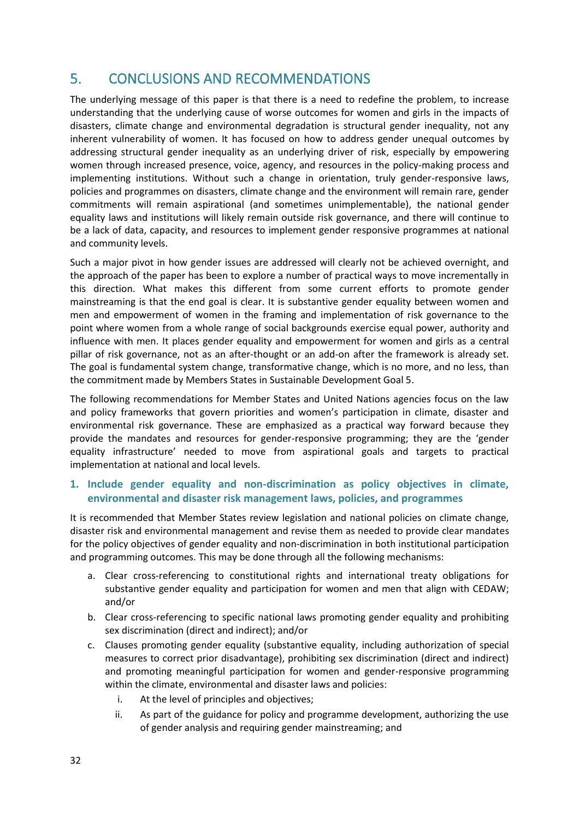# <span id="page-31-0"></span>5. CONCLUSIONS AND RECOMMENDATIONS

The underlying message of this paper is that there is a need to redefine the problem, to increase understanding that the underlying cause of worse outcomes for women and girls in the impacts of disasters, climate change and environmental degradation is structural gender inequality, not any inherent vulnerability of women. It has focused on how to address gender unequal outcomes by addressing structural gender inequality as an underlying driver of risk, especially by empowering women through increased presence, voice, agency, and resources in the policy-making process and implementing institutions. Without such a change in orientation, truly gender-responsive laws, policies and programmes on disasters, climate change and the environment will remain rare, gender commitments will remain aspirational (and sometimes unimplementable), the national gender equality laws and institutions will likely remain outside risk governance, and there will continue to be a lack of data, capacity, and resources to implement gender responsive programmes at national and community levels.

Such a major pivot in how gender issues are addressed will clearly not be achieved overnight, and the approach of the paper has been to explore a number of practical ways to move incrementally in this direction. What makes this different from some current efforts to promote gender mainstreaming is that the end goal is clear. It is substantive gender equality between women and men and empowerment of women in the framing and implementation of risk governance to the point where women from a whole range of social backgrounds exercise equal power, authority and influence with men. It places gender equality and empowerment for women and girls as a central pillar of risk governance, not as an after-thought or an add-on after the framework is already set. The goal is fundamental system change, transformative change, which is no more, and no less, than the commitment made by Members States in Sustainable Development Goal 5.

The following recommendations for Member States and United Nations agencies focus on the law and policy frameworks that govern priorities and women's participation in climate, disaster and environmental risk governance. These are emphasized as a practical way forward because they provide the mandates and resources for gender-responsive programming; they are the 'gender equality infrastructure' needed to move from aspirational goals and targets to practical implementation at national and local levels.

#### **1. Include gender equality and non-discrimination as policy objectives in climate, environmental and disaster risk management laws, policies, and programmes**

It is recommended that Member States review legislation and national policies on climate change, disaster risk and environmental management and revise them as needed to provide clear mandates for the policy objectives of gender equality and non-discrimination in both institutional participation and programming outcomes. This may be done through all the following mechanisms:

- a. Clear cross-referencing to constitutional rights and international treaty obligations for substantive gender equality and participation for women and men that align with CEDAW; and/or
- b. Clear cross-referencing to specific national laws promoting gender equality and prohibiting sex discrimination (direct and indirect); and/or
- c. Clauses promoting gender equality (substantive equality, including authorization of special measures to correct prior disadvantage), prohibiting sex discrimination (direct and indirect) and promoting meaningful participation for women and gender-responsive programming within the climate, environmental and disaster laws and policies:
	- i. At the level of principles and objectives;
	- ii. As part of the guidance for policy and programme development, authorizing the use of gender analysis and requiring gender mainstreaming; and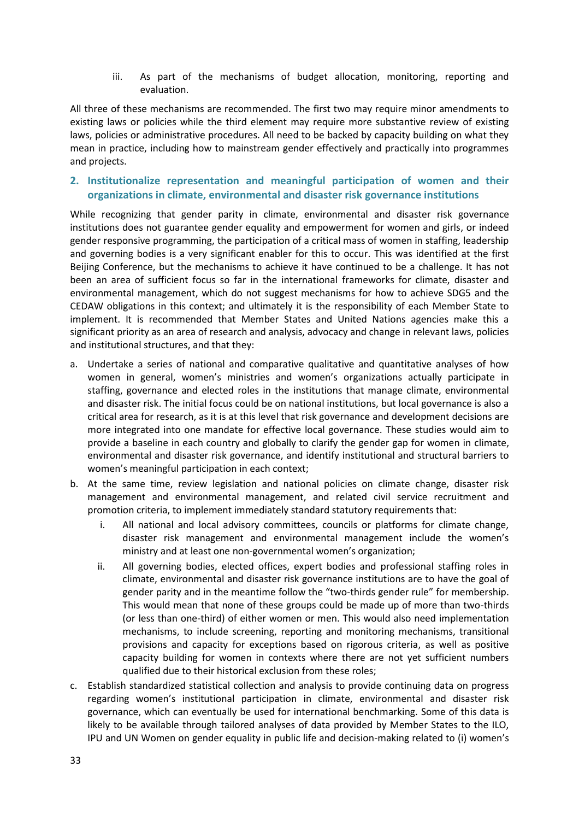iii. As part of the mechanisms of budget allocation, monitoring, reporting and evaluation.

All three of these mechanisms are recommended. The first two may require minor amendments to existing laws or policies while the third element may require more substantive review of existing laws, policies or administrative procedures. All need to be backed by capacity building on what they mean in practice, including how to mainstream gender effectively and practically into programmes and projects.

#### **2. Institutionalize representation and meaningful participation of women and their organizations in climate, environmental and disaster risk governance institutions**

While recognizing that gender parity in climate, environmental and disaster risk governance institutions does not guarantee gender equality and empowerment for women and girls, or indeed gender responsive programming, the participation of a critical mass of women in staffing, leadership and governing bodies is a very significant enabler for this to occur. This was identified at the first Beijing Conference, but the mechanisms to achieve it have continued to be a challenge. It has not been an area of sufficient focus so far in the international frameworks for climate, disaster and environmental management, which do not suggest mechanisms for how to achieve SDG5 and the CEDAW obligations in this context; and ultimately it is the responsibility of each Member State to implement. It is recommended that Member States and United Nations agencies make this a significant priority as an area of research and analysis, advocacy and change in relevant laws, policies and institutional structures, and that they:

- a. Undertake a series of national and comparative qualitative and quantitative analyses of how women in general, women's ministries and women's organizations actually participate in staffing, governance and elected roles in the institutions that manage climate, environmental and disaster risk. The initial focus could be on national institutions, but local governance is also a critical area for research, as it is at this level that risk governance and development decisions are more integrated into one mandate for effective local governance. These studies would aim to provide a baseline in each country and globally to clarify the gender gap for women in climate, environmental and disaster risk governance, and identify institutional and structural barriers to women's meaningful participation in each context;
- b. At the same time, review legislation and national policies on climate change, disaster risk management and environmental management, and related civil service recruitment and promotion criteria, to implement immediately standard statutory requirements that:
	- i. All national and local advisory committees, councils or platforms for climate change, disaster risk management and environmental management include the women's ministry and at least one non-governmental women's organization;
	- ii. All governing bodies, elected offices, expert bodies and professional staffing roles in climate, environmental and disaster risk governance institutions are to have the goal of gender parity and in the meantime follow the "two-thirds gender rule" for membership. This would mean that none of these groups could be made up of more than two-thirds (or less than one-third) of either women or men. This would also need implementation mechanisms, to include screening, reporting and monitoring mechanisms, transitional provisions and capacity for exceptions based on rigorous criteria, as well as positive capacity building for women in contexts where there are not yet sufficient numbers qualified due to their historical exclusion from these roles;
- c. Establish standardized statistical collection and analysis to provide continuing data on progress regarding women's institutional participation in climate, environmental and disaster risk governance, which can eventually be used for international benchmarking. Some of this data is likely to be available through tailored analyses of data provided by Member States to the ILO, IPU and UN Women on gender equality in public life and decision-making related to (i) women's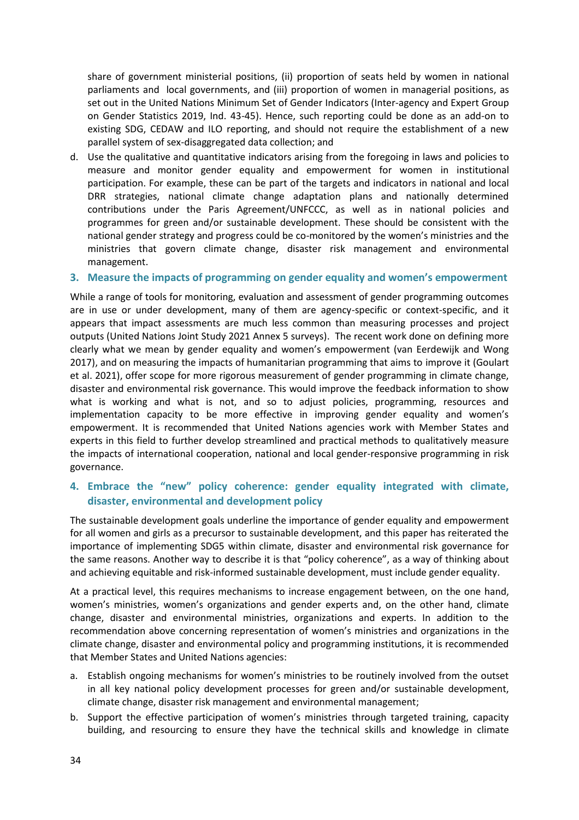share of government ministerial positions, (ii) proportion of seats held by women in national parliaments and local governments, and (iii) proportion of women in managerial positions, as set out in the United Nations Minimum Set of Gender Indicators (Inter-agency and Expert Group on Gender Statistics 2019, Ind. 43-45). Hence, such reporting could be done as an add-on to existing SDG, CEDAW and ILO reporting, and should not require the establishment of a new parallel system of sex-disaggregated data collection; and

d. Use the qualitative and quantitative indicators arising from the foregoing in laws and policies to measure and monitor gender equality and empowerment for women in institutional participation. For example, these can be part of the targets and indicators in national and local DRR strategies, national climate change adaptation plans and nationally determined contributions under the Paris Agreement/UNFCCC, as well as in national policies and programmes for green and/or sustainable development. These should be consistent with the national gender strategy and progress could be co-monitored by the women's ministries and the ministries that govern climate change, disaster risk management and environmental management.

#### **3. Measure the impacts of programming on gender equality and women's empowerment**

While a range of tools for monitoring, evaluation and assessment of gender programming outcomes are in use or under development, many of them are agency-specific or context-specific, and it appears that impact assessments are much less common than measuring processes and project outputs (United Nations Joint Study 2021 Annex 5 surveys). The recent work done on defining more clearly what we mean by gender equality and women's empowerment (van Eerdewijk and Wong 2017), and on measuring the impacts of humanitarian programming that aims to improve it (Goulart et al. 2021), offer scope for more rigorous measurement of gender programming in climate change, disaster and environmental risk governance. This would improve the feedback information to show what is working and what is not, and so to adjust policies, programming, resources and implementation capacity to be more effective in improving gender equality and women's empowerment. It is recommended that United Nations agencies work with Member States and experts in this field to further develop streamlined and practical methods to qualitatively measure the impacts of international cooperation, national and local gender-responsive programming in risk governance.

#### **4. Embrace the "new" policy coherence: gender equality integrated with climate, disaster, environmental and development policy**

The sustainable development goals underline the importance of gender equality and empowerment for all women and girls as a precursor to sustainable development, and this paper has reiterated the importance of implementing SDG5 within climate, disaster and environmental risk governance for the same reasons. Another way to describe it is that "policy coherence", as a way of thinking about and achieving equitable and risk-informed sustainable development, must include gender equality.

At a practical level, this requires mechanisms to increase engagement between, on the one hand, women's ministries, women's organizations and gender experts and, on the other hand, climate change, disaster and environmental ministries, organizations and experts. In addition to the recommendation above concerning representation of women's ministries and organizations in the climate change, disaster and environmental policy and programming institutions, it is recommended that Member States and United Nations agencies:

- a. Establish ongoing mechanisms for women's ministries to be routinely involved from the outset in all key national policy development processes for green and/or sustainable development, climate change, disaster risk management and environmental management;
- b. Support the effective participation of women's ministries through targeted training, capacity building, and resourcing to ensure they have the technical skills and knowledge in climate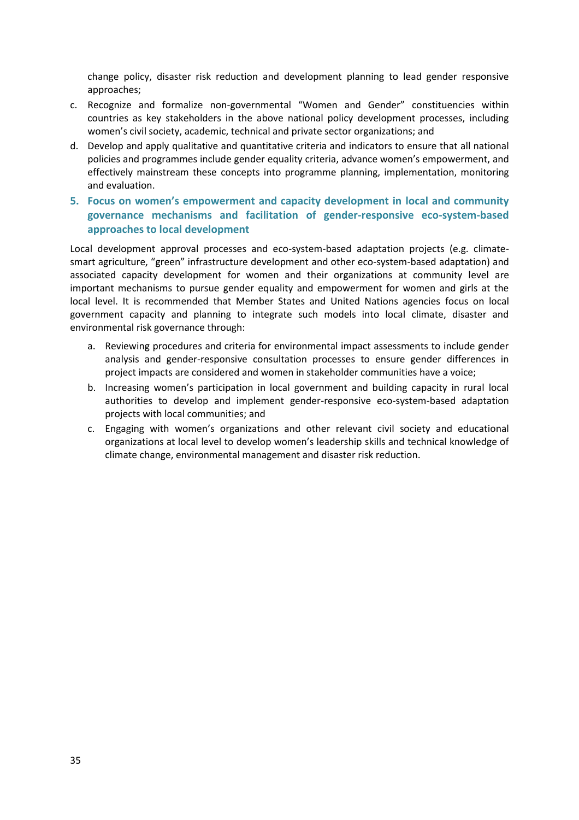change policy, disaster risk reduction and development planning to lead gender responsive approaches;

- c. Recognize and formalize non-governmental "Women and Gender" constituencies within countries as key stakeholders in the above national policy development processes, including women's civil society, academic, technical and private sector organizations; and
- d. Develop and apply qualitative and quantitative criteria and indicators to ensure that all national policies and programmes include gender equality criteria, advance women's empowerment, and effectively mainstream these concepts into programme planning, implementation, monitoring and evaluation.
- **5. Focus on women's empowerment and capacity development in local and community governance mechanisms and facilitation of gender-responsive eco-system-based approaches to local development**

Local development approval processes and eco-system-based adaptation projects (e.g. climatesmart agriculture, "green" infrastructure development and other eco-system-based adaptation) and associated capacity development for women and their organizations at community level are important mechanisms to pursue gender equality and empowerment for women and girls at the local level. It is recommended that Member States and United Nations agencies focus on local government capacity and planning to integrate such models into local climate, disaster and environmental risk governance through:

- a. Reviewing procedures and criteria for environmental impact assessments to include gender analysis and gender-responsive consultation processes to ensure gender differences in project impacts are considered and women in stakeholder communities have a voice;
- b. Increasing women's participation in local government and building capacity in rural local authorities to develop and implement gender-responsive eco-system-based adaptation projects with local communities; and
- c. Engaging with women's organizations and other relevant civil society and educational organizations at local level to develop women's leadership skills and technical knowledge of climate change, environmental management and disaster risk reduction.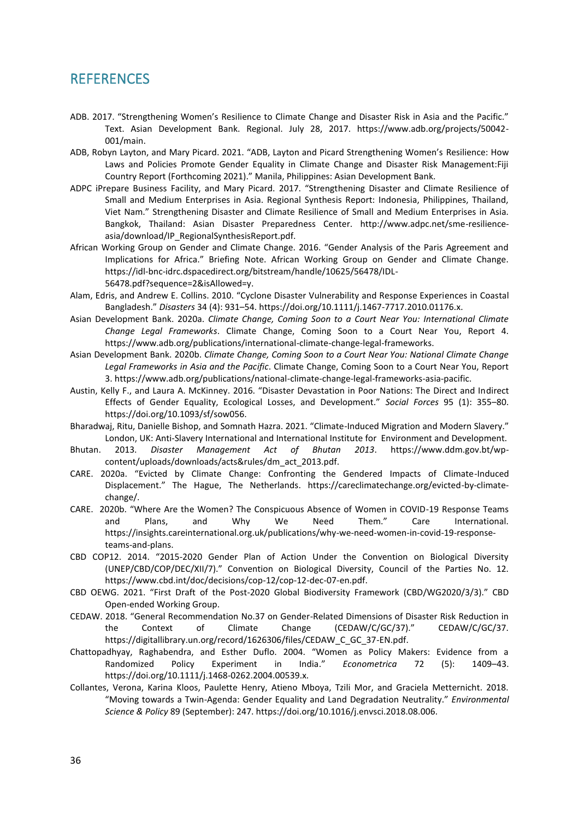## <span id="page-35-0"></span>**REFERENCES**

- ADB. 2017. "Strengthening Women's Resilience to Climate Change and Disaster Risk in Asia and the Pacific." Text. Asian Development Bank. Regional. July 28, 2017. https://www.adb.org/projects/50042- 001/main.
- ADB, Robyn Layton, and Mary Picard. 2021. "ADB, Layton and Picard Strengthening Women's Resilience: How Laws and Policies Promote Gender Equality in Climate Change and Disaster Risk Management:Fiji Country Report (Forthcoming 2021)." Manila, Philippines: Asian Development Bank.
- ADPC iPrepare Business Facility, and Mary Picard. 2017. "Strengthening Disaster and Climate Resilience of Small and Medium Enterprises in Asia. Regional Synthesis Report: Indonesia, Philippines, Thailand, Viet Nam." Strengthening Disaster and Climate Resilience of Small and Medium Enterprises in Asia. Bangkok, Thailand: Asian Disaster Preparedness Center. http://www.adpc.net/sme-resilienceasia/download/IP\_RegionalSynthesisReport.pdf.
- African Working Group on Gender and Climate Change. 2016. "Gender Analysis of the Paris Agreement and Implications for Africa." Briefing Note. African Working Group on Gender and Climate Change. https://idl-bnc-idrc.dspacedirect.org/bitstream/handle/10625/56478/IDL-56478.pdf?sequence=2&isAllowed=y.
- Alam, Edris, and Andrew E. Collins. 2010. "Cyclone Disaster Vulnerability and Response Experiences in Coastal Bangladesh." *Disasters* 34 (4): 931–54. https://doi.org/10.1111/j.1467-7717.2010.01176.x.
- Asian Development Bank. 2020a. *Climate Change, Coming Soon to a Court Near You: International Climate Change Legal Frameworks*. Climate Change, Coming Soon to a Court Near You, Report 4. https://www.adb.org/publications/international-climate-change-legal-frameworks.
- Asian Development Bank. 2020b. *Climate Change, Coming Soon to a Court Near You: National Climate Change Legal Frameworks in Asia and the Pacific*. Climate Change, Coming Soon to a Court Near You, Report 3. https://www.adb.org/publications/national-climate-change-legal-frameworks-asia-pacific.
- Austin, Kelly F., and Laura A. McKinney. 2016. "Disaster Devastation in Poor Nations: The Direct and Indirect Effects of Gender Equality, Ecological Losses, and Development." *Social Forces* 95 (1): 355–80. https://doi.org/10.1093/sf/sow056.
- Bharadwaj, Ritu, Danielle Bishop, and Somnath Hazra. 2021. "Climate-Induced Migration and Modern Slavery." London, UK: Anti-Slavery International and International Institute for Environment and Development.
- Bhutan. 2013. *Disaster Management Act of Bhutan 2013*. https://www.ddm.gov.bt/wpcontent/uploads/downloads/acts&rules/dm\_act\_2013.pdf.
- CARE. 2020a. "Evicted by Climate Change: Confronting the Gendered Impacts of Climate-Induced Displacement." The Hague, The Netherlands. https://careclimatechange.org/evicted-by-climatechange/.
- CARE. 2020b. "Where Are the Women? The Conspicuous Absence of Women in COVID-19 Response Teams and Plans, and Why We Need Them." Care International. https://insights.careinternational.org.uk/publications/why-we-need-women-in-covid-19-responseteams-and-plans.
- CBD COP12. 2014. "2015-2020 Gender Plan of Action Under the Convention on Biological Diversity (UNEP/CBD/COP/DEC/XII/7)." Convention on Biological Diversity, Council of the Parties No. 12. https://www.cbd.int/doc/decisions/cop-12/cop-12-dec-07-en.pdf.
- CBD OEWG. 2021. "First Draft of the Post-2020 Global Biodiversity Framework (CBD/WG2020/3/3)." CBD Open-ended Working Group.
- CEDAW. 2018. "General Recommendation No.37 on Gender-Related Dimensions of Disaster Risk Reduction in the Context of Climate Change (CEDAW/C/GC/37)." CEDAW/C/GC/37. https://digitallibrary.un.org/record/1626306/files/CEDAW\_C\_GC\_37-EN.pdf.
- Chattopadhyay, Raghabendra, and Esther Duflo. 2004. "Women as Policy Makers: Evidence from a Randomized Policy Experiment in India." *Econometrica* 72 (5): 1409–43. https://doi.org/10.1111/j.1468-0262.2004.00539.x.
- Collantes, Verona, Karina Kloos, Paulette Henry, Atieno Mboya, Tzili Mor, and Graciela Metternicht. 2018. "Moving towards a Twin-Agenda: Gender Equality and Land Degradation Neutrality." *Environmental Science & Policy* 89 (September): 247. https://doi.org/10.1016/j.envsci.2018.08.006.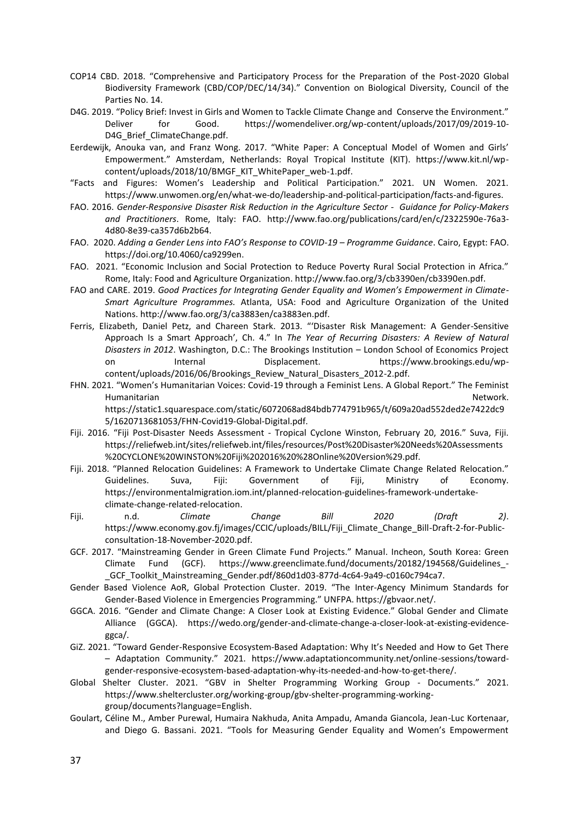- COP14 CBD. 2018. "Comprehensive and Participatory Process for the Preparation of the Post-2020 Global Biodiversity Framework (CBD/COP/DEC/14/34)." Convention on Biological Diversity, Council of the Parties No. 14.
- D4G. 2019. "Policy Brief: Invest in Girls and Women to Tackle Climate Change and Conserve the Environment." Deliver for Good. https://womendeliver.org/wp-content/uploads/2017/09/2019-10- D4G Brief ClimateChange.pdf.
- Eerdewijk, Anouka van, and Franz Wong. 2017. "White Paper: A Conceptual Model of Women and Girls' Empowerment." Amsterdam, Netherlands: Royal Tropical Institute (KIT). https://www.kit.nl/wpcontent/uploads/2018/10/BMGF\_KIT\_WhitePaper\_web-1.pdf.
- "Facts and Figures: Women's Leadership and Political Participation." 2021. UN Women. 2021. https://www.unwomen.org/en/what-we-do/leadership-and-political-participation/facts-and-figures.
- FAO. 2016. *Gender-Responsive Disaster Risk Reduction in the Agriculture Sector Guidance for Policy-Makers and Practitioners*. Rome, Italy: FAO. http://www.fao.org/publications/card/en/c/2322590e-76a3- 4d80-8e39-ca357d6b2b64.
- FAO. 2020. *Adding a Gender Lens into FAO's Response to COVID-19 – Programme Guidance*. Cairo, Egypt: FAO. https://doi.org/10.4060/ca9299en.
- FAO. 2021. "Economic Inclusion and Social Protection to Reduce Poverty Rural Social Protection in Africa." Rome, Italy: Food and Agriculture Organization. http://www.fao.org/3/cb3390en/cb3390en.pdf.
- FAO and CARE. 2019. *Good Practices for Integrating Gender Equality and Women's Empowerment in Climate-Smart Agriculture Programmes.* Atlanta, USA: Food and Agriculture Organization of the United Nations. http://www.fao.org/3/ca3883en/ca3883en.pdf.
- Ferris, Elizabeth, Daniel Petz, and Chareen Stark. 2013. "'Disaster Risk Management: A Gender-Sensitive Approach Is a Smart Approach', Ch. 4." In *The Year of Recurring Disasters: A Review of Natural Disasters in 2012*. Washington, D.C.: The Brookings Institution – London School of Economics Project on Internal Displacement. https://www.brookings.edu/wpcontent/uploads/2016/06/Brookings\_Review\_Natural\_Disasters\_2012-2.pdf.
- FHN. 2021. "Women's Humanitarian Voices: Covid-19 through a Feminist Lens. A Global Report." The Feminist Humanitarian Network. Network has been also been also been also been also been also been also been also been a https://static1.squarespace.com/static/6072068ad84bdb774791b965/t/609a20ad552ded2e7422dc9
	- 5/1620713681053/FHN-Covid19-Global-Digital.pdf.
- Fiji. 2016. "Fiji Post-Disaster Needs Assessment Tropical Cyclone Winston, February 20, 2016." Suva, Fiji. https://reliefweb.int/sites/reliefweb.int/files/resources/Post%20Disaster%20Needs%20Assessments %20CYCLONE%20WINSTON%20Fiji%202016%20%28Online%20Version%29.pdf.
- Fiji. 2018. "Planned Relocation Guidelines: A Framework to Undertake Climate Change Related Relocation." Guidelines. Suva, Fiji: Government of Fiji, Ministry of Economy. https://environmentalmigration.iom.int/planned-relocation-guidelines-framework-undertakeclimate-change-related-relocation.
- Fiji. n.d. *Climate Change Bill 2020 (Draft 2)*. https://www.economy.gov.fj/images/CCIC/uploads/BILL/Fiji\_Climate\_Change\_Bill-Draft-2-for-Publicconsultation-18-November-2020.pdf.
- GCF. 2017. "Mainstreaming Gender in Green Climate Fund Projects." Manual. Incheon, South Korea: Green Climate Fund (GCF). https://www.greenclimate.fund/documents/20182/194568/Guidelines\_- \_GCF\_Toolkit\_Mainstreaming\_Gender.pdf/860d1d03-877d-4c64-9a49-c0160c794ca7.
- Gender Based Violence AoR, Global Protection Cluster. 2019. "The Inter-Agency Minimum Standards for Gender-Based Violence in Emergencies Programming." UNFPA. https://gbvaor.net/.
- GGCA. 2016. "Gender and Climate Change: A Closer Look at Existing Evidence." Global Gender and Climate Alliance (GGCA). https://wedo.org/gender-and-climate-change-a-closer-look-at-existing-evidenceggca/.
- GiZ. 2021. "Toward Gender-Responsive Ecosystem-Based Adaptation: Why It's Needed and How to Get There – Adaptation Community." 2021. https://www.adaptationcommunity.net/online-sessions/towardgender-responsive-ecosystem-based-adaptation-why-its-needed-and-how-to-get-there/.
- Global Shelter Cluster. 2021. "GBV in Shelter Programming Working Group Documents." 2021. https://www.sheltercluster.org/working-group/gbv-shelter-programming-workinggroup/documents?language=English.
- Goulart, Céline M., Amber Purewal, Humaira Nakhuda, Anita Ampadu, Amanda Giancola, Jean-Luc Kortenaar, and Diego G. Bassani. 2021. "Tools for Measuring Gender Equality and Women's Empowerment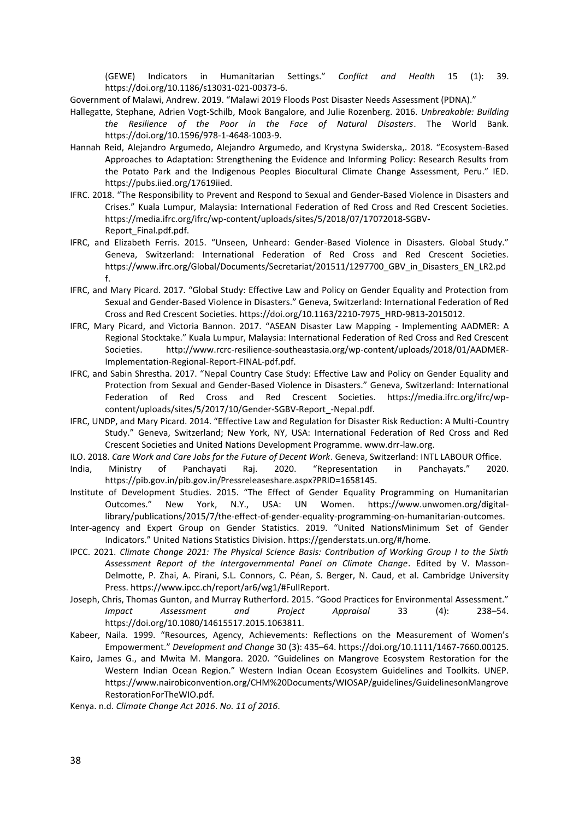(GEWE) Indicators in Humanitarian Settings." *Conflict and Health* 15 (1): 39. https://doi.org/10.1186/s13031-021-00373-6.

Government of Malawi, Andrew. 2019. "Malawi 2019 Floods Post Disaster Needs Assessment (PDNA)."

- Hallegatte, Stephane, Adrien Vogt-Schilb, Mook Bangalore, and Julie Rozenberg. 2016. *Unbreakable: Building the Resilience of the Poor in the Face of Natural Disasters*. The World Bank. https://doi.org/10.1596/978-1-4648-1003-9.
- Hannah Reid, Alejandro Argumedo, Alejandro Argumedo, and Krystyna Swiderska,. 2018. "Ecosystem-Based Approaches to Adaptation: Strengthening the Evidence and Informing Policy: Research Results from the Potato Park and the Indigenous Peoples Biocultural Climate Change Assessment, Peru." IED. https://pubs.iied.org/17619iied.
- IFRC. 2018. "The Responsibility to Prevent and Respond to Sexual and Gender-Based Violence in Disasters and Crises." Kuala Lumpur, Malaysia: International Federation of Red Cross and Red Crescent Societies. https://media.ifrc.org/ifrc/wp-content/uploads/sites/5/2018/07/17072018-SGBV-Report\_Final.pdf.pdf.
- IFRC, and Elizabeth Ferris. 2015. "Unseen, Unheard: Gender-Based Violence in Disasters. Global Study." Geneva, Switzerland: International Federation of Red Cross and Red Crescent Societies. https://www.ifrc.org/Global/Documents/Secretariat/201511/1297700\_GBV\_in\_Disasters\_EN\_LR2.pd f.
- IFRC, and Mary Picard. 2017. "Global Study: Effective Law and Policy on Gender Equality and Protection from Sexual and Gender-Based Violence in Disasters." Geneva, Switzerland: International Federation of Red Cross and Red Crescent Societies. https://doi.org/10.1163/2210-7975\_HRD-9813-2015012.
- IFRC, Mary Picard, and Victoria Bannon. 2017. "ASEAN Disaster Law Mapping Implementing AADMER: A Regional Stocktake." Kuala Lumpur, Malaysia: International Federation of Red Cross and Red Crescent Societies. http://www.rcrc-resilience-southeastasia.org/wp-content/uploads/2018/01/AADMER-Implementation-Regional-Report-FINAL-pdf.pdf.
- IFRC, and Sabin Shrestha. 2017. "Nepal Country Case Study: Effective Law and Policy on Gender Equality and Protection from Sexual and Gender-Based Violence in Disasters." Geneva, Switzerland: International Federation of Red Cross and Red Crescent Societies. https://media.ifrc.org/ifrc/wpcontent/uploads/sites/5/2017/10/Gender-SGBV-Report\_-Nepal.pdf.
- IFRC, UNDP, and Mary Picard. 2014. "Effective Law and Regulation for Disaster Risk Reduction: A Multi-Country Study." Geneva, Switzerland; New York, NY, USA: International Federation of Red Cross and Red Crescent Societies and United Nations Development Programme. www.drr-law.org.
- ILO. 2018. *Care Work and Care Jobs for the Future of Decent Work*. Geneva, Switzerland: INTL LABOUR Office.
- India, Ministry of Panchayati Raj. 2020. "Representation in Panchayats." 2020. https://pib.gov.in/pib.gov.in/Pressreleaseshare.aspx?PRID=1658145.
- Institute of Development Studies. 2015. "The Effect of Gender Equality Programming on Humanitarian Outcomes." New York, N.Y., USA: UN Women. https://www.unwomen.org/digitallibrary/publications/2015/7/the-effect-of-gender-equality-programming-on-humanitarian-outcomes.
- Inter-agency and Expert Group on Gender Statistics. 2019. "United NationsMinimum Set of Gender Indicators." United Nations Statistics Division. https://genderstats.un.org/#/home.
- IPCC. 2021. *Climate Change 2021: The Physical Science Basis: Contribution of Working Group I to the Sixth Assessment Report of the Intergovernmental Panel on Climate Change*. Edited by V. Masson-Delmotte, P. Zhai, A. Pirani, S.L. Connors, C. Péan, S. Berger, N. Caud, et al. Cambridge University Press. https://www.ipcc.ch/report/ar6/wg1/#FullReport.
- Joseph, Chris, Thomas Gunton, and Murray Rutherford. 2015. "Good Practices for Environmental Assessment." *Impact Assessment and Project Appraisal* 33 (4): 238–54. https://doi.org/10.1080/14615517.2015.1063811.
- Kabeer, Naila. 1999. "Resources, Agency, Achievements: Reflections on the Measurement of Women's Empowerment." *Development and Change* 30 (3): 435–64. https://doi.org/10.1111/1467-7660.00125.
- Kairo, James G., and Mwita M. Mangora. 2020. "Guidelines on Mangrove Ecosystem Restoration for the Western Indian Ocean Region." Western Indian Ocean Ecosystem Guidelines and Toolkits. UNEP. https://www.nairobiconvention.org/CHM%20Documents/WIOSAP/guidelines/GuidelinesonMangrove RestorationForTheWIO.pdf.
- Kenya. n.d. *Climate Change Act 2016*. *No. 11 of 2016*.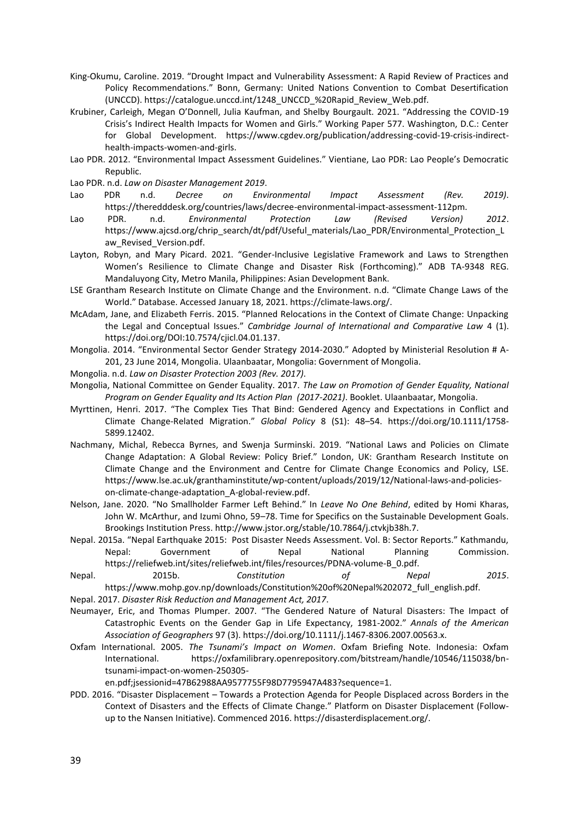- King-Okumu, Caroline. 2019. "Drought Impact and Vulnerability Assessment: A Rapid Review of Practices and Policy Recommendations." Bonn, Germany: United Nations Convention to Combat Desertification (UNCCD). https://catalogue.unccd.int/1248\_UNCCD\_%20Rapid\_Review\_Web.pdf.
- Krubiner, Carleigh, Megan O'Donnell, Julia Kaufman, and Shelby Bourgault. 2021. "Addressing the COVID-19 Crisis's Indirect Health Impacts for Women and Girls." Working Paper 577. Washington, D.C.: Center for Global Development. https://www.cgdev.org/publication/addressing-covid-19-crisis-indirecthealth-impacts-women-and-girls.
- Lao PDR. 2012. "Environmental Impact Assessment Guidelines." Vientiane, Lao PDR: Lao People's Democratic Republic.
- Lao PDR. n.d. *Law on Disaster Management 2019*.
- Lao PDR n.d. *Decree on Environmental Impact Assessment (Rev. 2019)*. https://theredddesk.org/countries/laws/decree-environmental-impact-assessment-112pm.
- Lao PDR. n.d. *Environmental Protection Law (Revised Version) 2012*. https://www.ajcsd.org/chrip\_search/dt/pdf/Useful\_materials/Lao\_PDR/Environmental\_Protection\_L aw Revised Version.pdf.
- Layton, Robyn, and Mary Picard. 2021. "Gender-Inclusive Legislative Framework and Laws to Strengthen Women's Resilience to Climate Change and Disaster Risk (Forthcoming)." ADB TA-9348 REG. Mandaluyong City, Metro Manila, Philippines: Asian Development Bank.
- LSE Grantham Research Institute on Climate Change and the Environment. n.d. "Climate Change Laws of the World." Database. Accessed January 18, 2021. https://climate-laws.org/.
- McAdam, Jane, and Elizabeth Ferris. 2015. "Planned Relocations in the Context of Climate Change: Unpacking the Legal and Conceptual Issues." *Cambridge Journal of International and Comparative Law* 4 (1). https://doi.org/DOI:10.7574/cjicl.04.01.137.
- Mongolia. 2014. "Environmental Sector Gender Strategy 2014-2030." Adopted by Ministerial Resolution # A-201, 23 June 2014, Mongolia. Ulaanbaatar, Mongolia: Government of Mongolia.
- Mongolia. n.d. *Law on Disaster Protection 2003 (Rev. 2017)*.
- Mongolia, National Committee on Gender Equality. 2017. *The Law on Promotion of Gender Equality, National Program on Gender Equality and Its Action Plan (2017-2021)*. Booklet. Ulaanbaatar, Mongolia.
- Myrttinen, Henri. 2017. "The Complex Ties That Bind: Gendered Agency and Expectations in Conflict and Climate Change-Related Migration." *Global Policy* 8 (S1): 48–54. https://doi.org/10.1111/1758- 5899.12402.
- Nachmany, Michal, Rebecca Byrnes, and Swenja Surminski. 2019. "National Laws and Policies on Climate Change Adaptation: A Global Review: Policy Brief." London, UK: Grantham Research Institute on Climate Change and the Environment and Centre for Climate Change Economics and Policy, LSE. https://www.lse.ac.uk/granthaminstitute/wp-content/uploads/2019/12/National-laws-and-policieson-climate-change-adaptation\_A-global-review.pdf.
- Nelson, Jane. 2020. "No Smallholder Farmer Left Behind." In *Leave No One Behind*, edited by Homi Kharas, John W. McArthur, and Izumi Ohno, 59–78. Time for Specifics on the Sustainable Development Goals. Brookings Institution Press. http://www.jstor.org/stable/10.7864/j.ctvkjb38h.7.
- Nepal. 2015a. "Nepal Earthquake 2015: Post Disaster Needs Assessment. Vol. B: Sector Reports." Kathmandu, Nepal: Government of Nepal National Planning Commission. https://reliefweb.int/sites/reliefweb.int/files/resources/PDNA-volume-B\_0.pdf.
- Nepal. 2015b. *Constitution of Nepal 2015*. https://www.mohp.gov.np/downloads/Constitution%20of%20Nepal%202072\_full\_english.pdf.
- Nepal. 2017. *Disaster Risk Reduction and Management Act, 2017*.
- Neumayer, Eric, and Thomas Plumper. 2007. "The Gendered Nature of Natural Disasters: The Impact of Catastrophic Events on the Gender Gap in Life Expectancy, 1981-2002." *Annals of the American Association of Geographers* 97 (3). https://doi.org/10.1111/j.1467-8306.2007.00563.x.
- Oxfam International. 2005. *The Tsunami's Impact on Women*. Oxfam Briefing Note. Indonesia: Oxfam International. https://oxfamilibrary.openrepository.com/bitstream/handle/10546/115038/bntsunami-impact-on-women-250305-

en.pdf;jsessionid=47B62988AA9577755F98D7795947A483?sequence=1.

PDD. 2016. "Disaster Displacement – Towards a Protection Agenda for People Displaced across Borders in the Context of Disasters and the Effects of Climate Change." Platform on Disaster Displacement (Followup to the Nansen Initiative). Commenced 2016. https://disasterdisplacement.org/.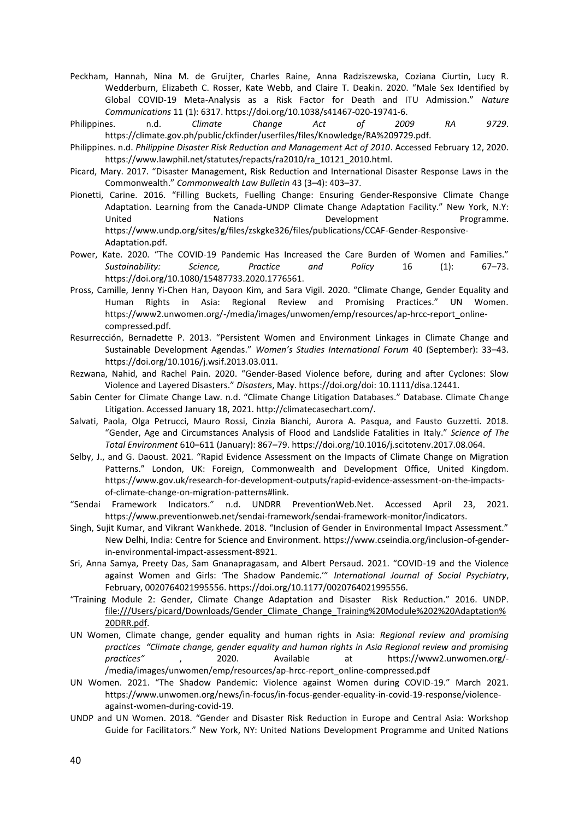- Peckham, Hannah, Nina M. de Gruijter, Charles Raine, Anna Radziszewska, Coziana Ciurtin, Lucy R. Wedderburn, Elizabeth C. Rosser, Kate Webb, and Claire T. Deakin. 2020. "Male Sex Identified by Global COVID-19 Meta-Analysis as a Risk Factor for Death and ITU Admission." *Nature Communications* 11 (1): 6317. https://doi.org/10.1038/s41467-020-19741-6.
- Philippines. n.d. *Climate Change Act of 2009 RA 9729*. https://climate.gov.ph/public/ckfinder/userfiles/files/Knowledge/RA%209729.pdf.
- Philippines. n.d. *Philippine Disaster Risk Reduction and Management Act of 2010*. Accessed February 12, 2020. https://www.lawphil.net/statutes/repacts/ra2010/ra\_10121\_2010.html.
- Picard, Mary. 2017. "Disaster Management, Risk Reduction and International Disaster Response Laws in the Commonwealth." *Commonwealth Law Bulletin* 43 (3–4): 403–37.
- Pionetti, Carine. 2016. "Filling Buckets, Fuelling Change: Ensuring Gender-Responsive Climate Change Adaptation. Learning from the Canada-UNDP Climate Change Adaptation Facility." New York, N.Y: United Nations Nations Development Programme. https://www.undp.org/sites/g/files/zskgke326/files/publications/CCAF-Gender-Responsive-Adaptation.pdf.
- Power, Kate. 2020. "The COVID-19 Pandemic Has Increased the Care Burden of Women and Families." *Sustainability: Science, Practice and Policy* 16 (1): 67–73. https://doi.org/10.1080/15487733.2020.1776561.
- Pross, Camille, Jenny Yi-Chen Han, Dayoon Kim, and Sara Vigil. 2020. "Climate Change, Gender Equality and Human Rights in Asia: Regional Review and Promising Practices." UN Women. https://www2.unwomen.org/-/media/images/unwomen/emp/resources/ap-hrcc-report\_onlinecompressed.pdf.
- Resurrección, Bernadette P. 2013. "Persistent Women and Environment Linkages in Climate Change and Sustainable Development Agendas." *Women's Studies International Forum* 40 (September): 33–43. https://doi.org/10.1016/j.wsif.2013.03.011.
- Rezwana, Nahid, and Rachel Pain. 2020. "Gender-Based Violence before, during and after Cyclones: Slow Violence and Layered Disasters." *Disasters*, May. https://doi.org/doi: 10.1111/disa.12441.
- Sabin Center for Climate Change Law. n.d. "Climate Change Litigation Databases." Database. Climate Change Litigation. Accessed January 18, 2021. http://climatecasechart.com/.
- Salvati, Paola, Olga Petrucci, Mauro Rossi, Cinzia Bianchi, Aurora A. Pasqua, and Fausto Guzzetti. 2018. "Gender, Age and Circumstances Analysis of Flood and Landslide Fatalities in Italy." *Science of The Total Environment* 610–611 (January): 867–79. https://doi.org/10.1016/j.scitotenv.2017.08.064.
- Selby, J., and G. Daoust. 2021. "Rapid Evidence Assessment on the Impacts of Climate Change on Migration Patterns." London, UK: Foreign, Commonwealth and Development Office, United Kingdom. https://www.gov.uk/research-for-development-outputs/rapid-evidence-assessment-on-the-impactsof-climate-change-on-migration-patterns#link.
- "Sendai Framework Indicators." n.d. UNDRR PreventionWeb.Net. Accessed April 23, 2021. https://www.preventionweb.net/sendai-framework/sendai-framework-monitor/indicators.
- Singh, Sujit Kumar, and Vikrant Wankhede. 2018. "Inclusion of Gender in Environmental Impact Assessment." New Delhi, India: Centre for Science and Environment. https://www.cseindia.org/inclusion-of-genderin-environmental-impact-assessment-8921.
- Sri, Anna Samya, Preety Das, Sam Gnanapragasam, and Albert Persaud. 2021. "COVID-19 and the Violence against Women and Girls: 'The Shadow Pandemic.'" *International Journal of Social Psychiatry*, February, 0020764021995556. https://doi.org/10.1177/0020764021995556.
- "Training Module 2: Gender, Climate Change Adaptation and Disaster Risk Reduction." 2016. UNDP. [file:///Users/picard/Downloads/Gender\\_Climate\\_Change\\_Training%20Module%202%20Adaptation%](/Users/picard/Downloads/Gender_Climate_Change_Training%20Module%202%20Adaptation%20DRR.pdf) [20DRR.pdf.](/Users/picard/Downloads/Gender_Climate_Change_Training%20Module%202%20Adaptation%20DRR.pdf)
- UN Women, Climate change, gender equality and human rights in Asia: *Regional review and promising practices "Climate change, gender equality and human rights in Asia Regional review and promising practices"* , 2020. Available at https://www2.unwomen.org/- /media/images/unwomen/emp/resources/ap-hrcc-report\_online-compressed.pdf
- UN Women. 2021. "The Shadow Pandemic: Violence against Women during COVID-19." March 2021. https://www.unwomen.org/news/in-focus/in-focus-gender-equality-in-covid-19-response/violenceagainst-women-during-covid-19.
- UNDP and UN Women. 2018. "Gender and Disaster Risk Reduction in Europe and Central Asia: Workshop Guide for Facilitators." New York, NY: United Nations Development Programme and United Nations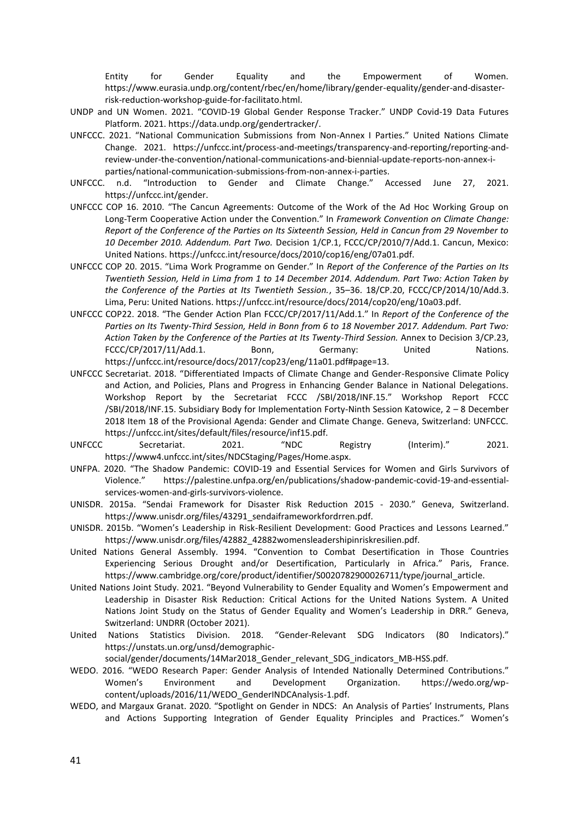Entity for Gender Equality and the Empowerment of Women. https://www.eurasia.undp.org/content/rbec/en/home/library/gender-equality/gender-and-disasterrisk-reduction-workshop-guide-for-facilitato.html.

- UNDP and UN Women. 2021. "COVID-19 Global Gender Response Tracker." UNDP Covid-19 Data Futures Platform. 2021. https://data.undp.org/gendertracker/.
- UNFCCC. 2021. "National Communication Submissions from Non-Annex I Parties." United Nations Climate Change. 2021. https://unfccc.int/process-and-meetings/transparency-and-reporting/reporting-andreview-under-the-convention/national-communications-and-biennial-update-reports-non-annex-iparties/national-communication-submissions-from-non-annex-i-parties.
- UNFCCC. n.d. "Introduction to Gender and Climate Change." Accessed June 27, 2021. https://unfccc.int/gender.
- UNFCCC COP 16. 2010. "The Cancun Agreements: Outcome of the Work of the Ad Hoc Working Group on Long-Term Cooperative Action under the Convention." In *Framework Convention on Climate Change: Report of the Conference of the Parties on Its Sixteenth Session, Held in Cancun from 29 November to 10 December 2010. Addendum. Part Two.* Decision 1/CP.1, FCCC/CP/2010/7/Add.1. Cancun, Mexico: United Nations. https://unfccc.int/resource/docs/2010/cop16/eng/07a01.pdf.
- UNFCCC COP 20. 2015. "Lima Work Programme on Gender." In *Report of the Conference of the Parties on Its Twentieth Session, Held in Lima from 1 to 14 December 2014. Addendum. Part Two: Action Taken by the Conference of the Parties at Its Twentieth Session.*, 35–36. 18/CP.20, FCCC/CP/2014/10/Add.3. Lima, Peru: United Nations. https://unfccc.int/resource/docs/2014/cop20/eng/10a03.pdf.
- UNFCCC COP22. 2018. "The Gender Action Plan FCCC/CP/2017/11/Add.1." In *Report of the Conference of the Parties on Its Twenty-Third Session, Held in Bonn from 6 to 18 November 2017. Addendum. Part Two: Action Taken by the Conference of the Parties at Its Twenty-Third Session.* Annex to Decision 3/CP.23, FCCC/CP/2017/11/Add.1. Bonn, Germany: United Nations. https://unfccc.int/resource/docs/2017/cop23/eng/11a01.pdf#page=13.
- UNFCCC Secretariat. 2018. "Differentiated Impacts of Climate Change and Gender-Responsive Climate Policy and Action, and Policies, Plans and Progress in Enhancing Gender Balance in National Delegations. Workshop Report by the Secretariat FCCC /SBI/2018/INF.15." Workshop Report FCCC /SBI/2018/INF.15. Subsidiary Body for Implementation Forty-Ninth Session Katowice, 2 – 8 December 2018 Item 18 of the Provisional Agenda: Gender and Climate Change. Geneva, Switzerland: UNFCCC. https://unfccc.int/sites/default/files/resource/inf15.pdf.
- UNFCCC Secretariat. 2021. "NDC Registry (Interim)." 2021. https://www4.unfccc.int/sites/NDCStaging/Pages/Home.aspx.
- UNFPA. 2020. "The Shadow Pandemic: COVID-19 and Essential Services for Women and Girls Survivors of Violence." https://palestine.unfpa.org/en/publications/shadow-pandemic-covid-19-and-essentialservices-women-and-girls-survivors-violence.
- UNISDR. 2015a. "Sendai Framework for Disaster Risk Reduction 2015 2030." Geneva, Switzerland. https://www.unisdr.org/files/43291\_sendaiframeworkfordrren.pdf.
- UNISDR. 2015b. "Women's Leadership in Risk-Resilient Development: Good Practices and Lessons Learned." https://www.unisdr.org/files/42882\_42882womensleadershipinriskresilien.pdf.
- United Nations General Assembly. 1994. "Convention to Combat Desertification in Those Countries Experiencing Serious Drought and/or Desertification, Particularly in Africa." Paris, France. https://www.cambridge.org/core/product/identifier/S0020782900026711/type/journal\_article.
- United Nations Joint Study. 2021. "Beyond Vulnerability to Gender Equality and Women's Empowerment and Leadership in Disaster Risk Reduction: Critical Actions for the United Nations System. A United Nations Joint Study on the Status of Gender Equality and Women's Leadership in DRR." Geneva, Switzerland: UNDRR (October 2021).
- United Nations Statistics Division. 2018. "Gender-Relevant SDG Indicators (80 Indicators)." https://unstats.un.org/unsd/demographic-

social/gender/documents/14Mar2018\_Gender\_relevant\_SDG\_indicators\_MB-HSS.pdf.

- WEDO. 2016. "WEDO Research Paper: Gender Analysis of Intended Nationally Determined Contributions." Women's Environment and Development Organization. https://wedo.org/wpcontent/uploads/2016/11/WEDO\_GenderINDCAnalysis-1.pdf.
- WEDO, and Margaux Granat. 2020. "Spotlight on Gender in NDCS: An Analysis of Parties' Instruments, Plans and Actions Supporting Integration of Gender Equality Principles and Practices." Women's